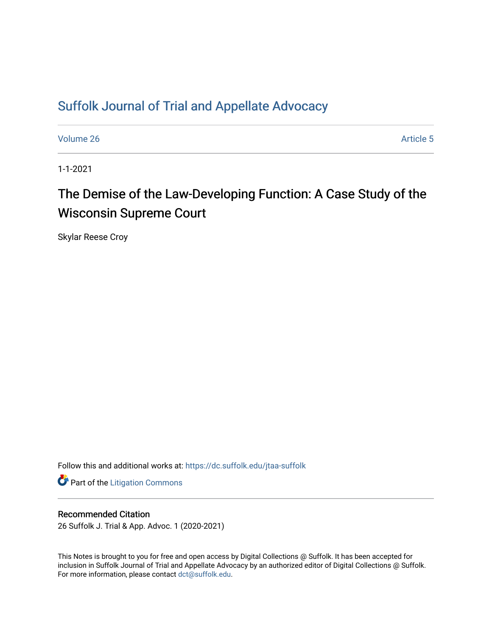# [Suffolk Journal of Trial and Appellate Advocacy](https://dc.suffolk.edu/jtaa-suffolk)

[Volume 26](https://dc.suffolk.edu/jtaa-suffolk/vol26) Article 5

1-1-2021

# The Demise of the Law-Developing Function: A Case Study of the Wisconsin Supreme Court

Skylar Reese Croy

Follow this and additional works at: [https://dc.suffolk.edu/jtaa-suffolk](https://dc.suffolk.edu/jtaa-suffolk?utm_source=dc.suffolk.edu%2Fjtaa-suffolk%2Fvol26%2Fiss1%2F5&utm_medium=PDF&utm_campaign=PDFCoverPages) 

**Part of the [Litigation Commons](http://network.bepress.com/hgg/discipline/910?utm_source=dc.suffolk.edu%2Fjtaa-suffolk%2Fvol26%2Fiss1%2F5&utm_medium=PDF&utm_campaign=PDFCoverPages)** 

# Recommended Citation

26 Suffolk J. Trial & App. Advoc. 1 (2020-2021)

This Notes is brought to you for free and open access by Digital Collections @ Suffolk. It has been accepted for inclusion in Suffolk Journal of Trial and Appellate Advocacy by an authorized editor of Digital Collections @ Suffolk. For more information, please contact [dct@suffolk.edu](mailto:dct@suffolk.edu).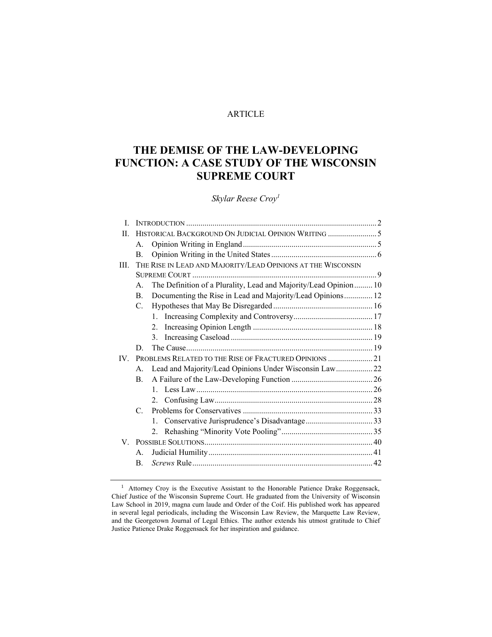# ARTICLE

# **THE DEMISE OF THE LAW-DEVELOPING FUNCTION: A CASE STUDY OF THE WISCONSIN SUPREME COURT**

*Skylar Reese Croy<sup>1</sup>*

| L           |                                                                  |                                                                                                                                                                                                                          |  |
|-------------|------------------------------------------------------------------|--------------------------------------------------------------------------------------------------------------------------------------------------------------------------------------------------------------------------|--|
| H.          |                                                                  |                                                                                                                                                                                                                          |  |
|             |                                                                  |                                                                                                                                                                                                                          |  |
| B.          |                                                                  |                                                                                                                                                                                                                          |  |
|             |                                                                  |                                                                                                                                                                                                                          |  |
|             |                                                                  |                                                                                                                                                                                                                          |  |
| $A_{-}$     | The Definition of a Plurality, Lead and Majority/Lead Opinion 10 |                                                                                                                                                                                                                          |  |
| B.          | Documenting the Rise in Lead and Majority/Lead Opinions 12       |                                                                                                                                                                                                                          |  |
| $C_{\cdot}$ |                                                                  |                                                                                                                                                                                                                          |  |
|             | $\mathbf{1}$                                                     |                                                                                                                                                                                                                          |  |
|             | $\overline{2}$                                                   |                                                                                                                                                                                                                          |  |
|             | 3 <sub>1</sub>                                                   |                                                                                                                                                                                                                          |  |
| D.          |                                                                  |                                                                                                                                                                                                                          |  |
|             |                                                                  |                                                                                                                                                                                                                          |  |
|             | Lead and Majority/Lead Opinions Under Wisconsin Law 22           |                                                                                                                                                                                                                          |  |
| $B_{-}$     |                                                                  |                                                                                                                                                                                                                          |  |
|             |                                                                  |                                                                                                                                                                                                                          |  |
|             |                                                                  |                                                                                                                                                                                                                          |  |
|             |                                                                  |                                                                                                                                                                                                                          |  |
|             | $1_{-}$                                                          |                                                                                                                                                                                                                          |  |
|             | $2_{1}$                                                          |                                                                                                                                                                                                                          |  |
|             |                                                                  |                                                                                                                                                                                                                          |  |
| A.          |                                                                  |                                                                                                                                                                                                                          |  |
|             |                                                                  |                                                                                                                                                                                                                          |  |
|             |                                                                  | HISTORICAL BACKGROUND ON JUDICIAL OPINION WRITING 5<br>$A_{\cdot}$<br>THE RISE IN LEAD AND MAJORITY/LEAD OPINIONS AT THE WISCONSIN<br>PROBLEMS RELATED TO THE RISE OF FRACTURED OPINIONS  21<br>$\mathsf{A}$<br>C.<br>B. |  |

<sup>&</sup>lt;sup>1</sup> Attorney Croy is the Executive Assistant to the Honorable Patience Drake Roggensack, Chief Justice of the Wisconsin Supreme Court. He graduated from the University of Wisconsin Law School in 2019, magna cum laude and Order of the Coif. His published work has appeared in several legal periodicals, including the Wisconsin Law Review, the Marquette Law Review, and the Georgetown Journal of Legal Ethics. The author extends his utmost gratitude to Chief Justice Patience Drake Roggensack for her inspiration and guidance.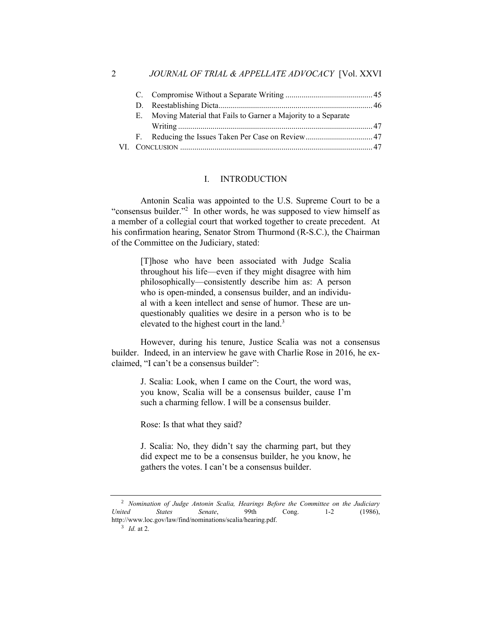| Е. | Moving Material that Fails to Garner a Majority to a Separate |  |
|----|---------------------------------------------------------------|--|
|    |                                                               |  |
|    |                                                               |  |
|    |                                                               |  |

#### I. INTRODUCTION

Antonin Scalia was appointed to the U.S. Supreme Court to be a "consensus builder."<sup>2</sup> In other words, he was supposed to view himself as a member of a collegial court that worked together to create precedent. At his confirmation hearing, Senator Strom Thurmond (R-S.C.), the Chairman of the Committee on the Judiciary, stated:

> [T]hose who have been associated with Judge Scalia throughout his life—even if they might disagree with him philosophically—consistently describe him as: A person who is open-minded, a consensus builder, and an individual with a keen intellect and sense of humor. These are unquestionably qualities we desire in a person who is to be elevated to the highest court in the land.<sup>3</sup>

However, during his tenure, Justice Scalia was not a consensus builder. Indeed, in an interview he gave with Charlie Rose in 2016, he exclaimed, "I can't be a consensus builder":

> J. Scalia: Look, when I came on the Court, the word was, you know, Scalia will be a consensus builder, cause I'm such a charming fellow. I will be a consensus builder.

Rose: Is that what they said?

J. Scalia: No, they didn't say the charming part, but they did expect me to be a consensus builder, he you know, he gathers the votes. I can't be a consensus builder.

<sup>2</sup> *Nomination of Judge Antonin Scalia, Hearings Before the Committee on the Judiciary United States Senate*, 99th Cong. 1-2 (1986), http://www.loc.gov/law/find/nominations/scalia/hearing.pdf.

<sup>3</sup> *Id.* at 2.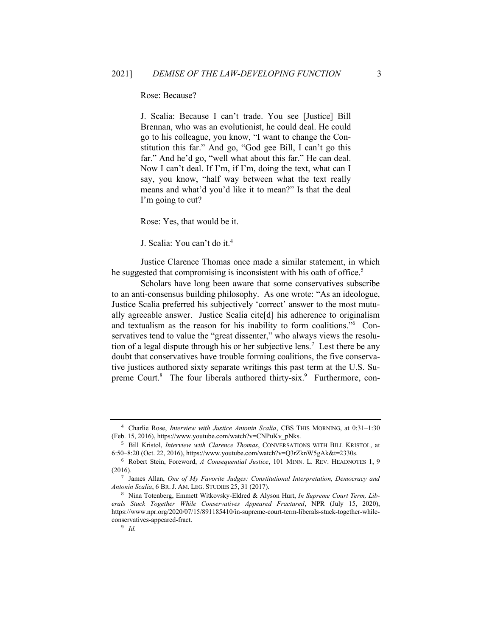Rose: Because?

J. Scalia: Because I can't trade. You see [Justice] Bill Brennan, who was an evolutionist, he could deal. He could go to his colleague, you know, "I want to change the Constitution this far." And go, "God gee Bill, I can't go this far." And he'd go, "well what about this far." He can deal. Now I can't deal. If I'm, if I'm, doing the text, what can I say, you know, "half way between what the text really means and what'd you'd like it to mean?" Is that the deal I'm going to cut?

Rose: Yes, that would be it.

J. Scalia: You can't do it.<sup>4</sup>

Justice Clarence Thomas once made a similar statement, in which he suggested that compromising is inconsistent with his oath of office.<sup>5</sup>

Scholars have long been aware that some conservatives subscribe to an anti-consensus building philosophy. As one wrote: "As an ideologue, Justice Scalia preferred his subjectively 'correct' answer to the most mutually agreeable answer. Justice Scalia cite[d] his adherence to originalism and textualism as the reason for his inability to form coalitions."<sup>6</sup> Conservatives tend to value the "great dissenter," who always views the resolution of a legal dispute through his or her subjective lens.<sup>7</sup> Lest there be any doubt that conservatives have trouble forming coalitions, the five conservative justices authored sixty separate writings this past term at the U.S. Supreme Court.<sup>8</sup> The four liberals authored thirty-six.<sup>9</sup> Furthermore, con-

<sup>4</sup> Charlie Rose, *Interview with Justice Antonin Scalia*, CBS THIS MORNING, at 0:31–1:30 (Feb. 15, 2016), https://www.youtube.com/watch?v=CNPuKv\_pNks.

<sup>5</sup> Bill Kristol, *Interview with Clarence Thomas*, CONVERSATIONS WITH BILL KRISTOL, at 6:50–8:20 (Oct. 22, 2016), https://www.youtube.com/watch?v=Q3rZknW5gAk&t=2330s.

<sup>6</sup> Robert Stein, Foreword, *A Consequential Justice*, 101 MINN. L. REV. HEADNOTES 1, 9 (2016).

<sup>7</sup> James Allan, *One of My Favorite Judges: Constitutional Interpretation, Democracy and Antonin Scalia*, 6 BR. J. AM. LEG. STUDIES 25, 31 (2017).

<sup>8</sup> Nina Totenberg, Emmett Witkovsky-Eldred & Alyson Hurt, *In Supreme Court Term, Liberals Stuck Together While Conservatives Appeared Fractured*, NPR (July 15, 2020), https://www.npr.org/2020/07/15/891185410/in-supreme-court-term-liberals-stuck-together-whileconservatives-appeared-fract.

<sup>9</sup> *Id.*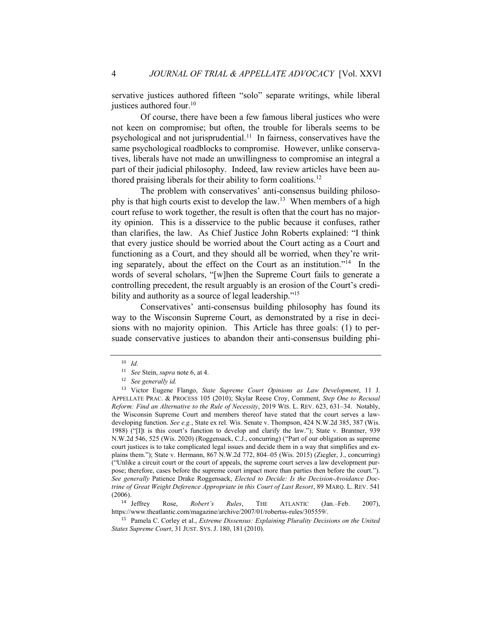servative justices authored fifteen "solo" separate writings, while liberal justices authored four.<sup>10</sup>

Of course, there have been a few famous liberal justices who were not keen on compromise; but often, the trouble for liberals seems to be psychological and not jurisprudential.<sup>11</sup> In fairness, conservatives have the same psychological roadblocks to compromise. However, unlike conservatives, liberals have not made an unwillingness to compromise an integral a part of their judicial philosophy. Indeed, law review articles have been authored praising liberals for their ability to form coalitions.<sup>12</sup>

The problem with conservatives' anti-consensus building philosophy is that high courts exist to develop the law.<sup>13</sup> When members of a high court refuse to work together, the result is often that the court has no majority opinion. This is a disservice to the public because it confuses, rather than clarifies, the law. As Chief Justice John Roberts explained: "I think that every justice should be worried about the Court acting as a Court and functioning as a Court, and they should all be worried, when they're writing separately, about the effect on the Court as an institution."<sup>14</sup> In the words of several scholars, "[w]hen the Supreme Court fails to generate a controlling precedent, the result arguably is an erosion of the Court's credibility and authority as a source of legal leadership."<sup>15</sup>

Conservatives' anti-consensus building philosophy has found its way to the Wisconsin Supreme Court, as demonstrated by a rise in decisions with no majority opinion. This Article has three goals: (1) to persuade conservative justices to abandon their anti-consensus building phi-

<sup>14</sup> Jeffrey Rose, *Robert's Rules*, THE ATLANTIC (Jan.–Feb. 2007), https://www.theatlantic.com/magazine/archive/2007/01/robertss-rules/305559/.

<sup>15</sup> Pamela C. Corley et al., *Extreme Dissensus: Explaining Plurality Decisions on the United States Supreme Court*, 31 JUST. SYS. J. 180, 181 (2010).

<sup>10</sup> *Id.*

<sup>11</sup> *See* Stein, *supra* note 6, at 4.

<sup>12</sup> *See generally id.*

<sup>13</sup> Victor Eugene Flango, *State Supreme Court Opinions as Law Development*, 11 J. APPELLATE PRAC. & PROCESS 105 (2010); Skylar Reese Croy, Comment, *Step One to Recusal Reform: Find an Alternative to the Rule of Necessity*, 2019 WIS. L. REV. 623, 631–34. Notably, the Wisconsin Supreme Court and members thereof have stated that the court serves a lawdeveloping function. *See e.g.*, State ex rel. Wis. Senate v. Thompson, 424 N.W.2d 385, 387 (Wis. 1988) ("[I]t is this court's function to develop and clarify the law."); State v. Brantner, 939 N.W.2d 546, 525 (Wis. 2020) (Roggensack, C.J., concurring) ("Part of our obligation as supreme court justices is to take complicated legal issues and decide them in a way that simplifies and explains them."); State v. Hermann, 867 N.W.2d 772, 804–05 (Wis. 2015) (Ziegler, J., concurring) ("Unlike a circuit court or the court of appeals, the supreme court serves a law development purpose; therefore, cases before the supreme court impact more than parties then before the court."). *See generally* Patience Drake Roggensack, *Elected to Decide: Is the Decision-Avoidance Doctrine of Great Weight Deference Appropriate in this Court of Last Resort*, 89 MARQ. L. REV. 541 (2006).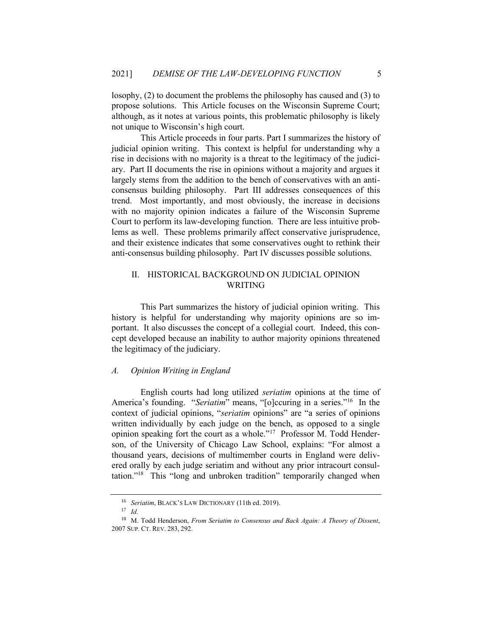losophy, (2) to document the problems the philosophy has caused and (3) to propose solutions. This Article focuses on the Wisconsin Supreme Court; although, as it notes at various points, this problematic philosophy is likely not unique to Wisconsin's high court.

This Article proceeds in four parts. Part I summarizes the history of judicial opinion writing. This context is helpful for understanding why a rise in decisions with no majority is a threat to the legitimacy of the judiciary. Part II documents the rise in opinions without a majority and argues it largely stems from the addition to the bench of conservatives with an anticonsensus building philosophy. Part III addresses consequences of this trend. Most importantly, and most obviously, the increase in decisions with no majority opinion indicates a failure of the Wisconsin Supreme Court to perform its law-developing function. There are less intuitive problems as well. These problems primarily affect conservative jurisprudence, and their existence indicates that some conservatives ought to rethink their anti-consensus building philosophy. Part IV discusses possible solutions.

# II. HISTORICAL BACKGROUND ON JUDICIAL OPINION WRITING

This Part summarizes the history of judicial opinion writing. This history is helpful for understanding why majority opinions are so important. It also discusses the concept of a collegial court. Indeed, this concept developed because an inability to author majority opinions threatened the legitimacy of the judiciary.

# *A. Opinion Writing in England*

English courts had long utilized *seriatim* opinions at the time of America's founding. "Seriatim" means, "[o]ccuring in a series."<sup>16</sup> In the context of judicial opinions, "*seriatim* opinions" are "a series of opinions written individually by each judge on the bench, as opposed to a single opinion speaking fort the court as a whole."<sup>17</sup> Professor M. Todd Henderson, of the University of Chicago Law School, explains: "For almost a thousand years, decisions of multimember courts in England were delivered orally by each judge seriatim and without any prior intracourt consultation."<sup>18</sup> This "long and unbroken tradition" temporarily changed when

<sup>16</sup> *Seriatim*, BLACK'S LAW DICTIONARY (11th ed. 2019).

<sup>17</sup> *Id.* 

<sup>18</sup> M. Todd Henderson, *From Seriatim to Consensus and Back Again: A Theory of Dissent*, 2007 SUP. CT. REV. 283, 292.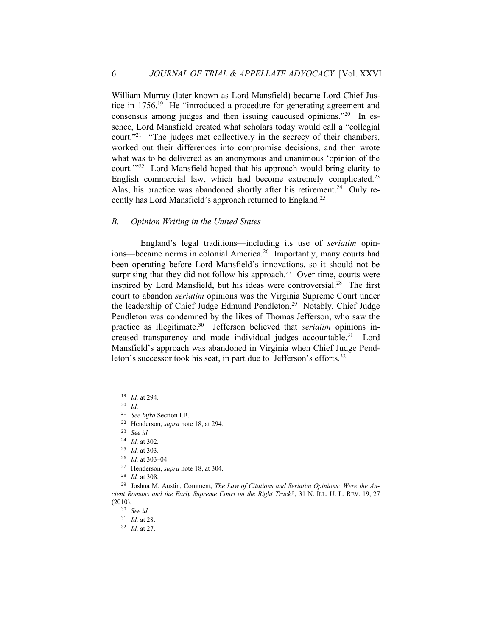William Murray (later known as Lord Mansfield) became Lord Chief Justice in 1756.<sup>19</sup> He "introduced a procedure for generating agreement and consensus among judges and then issuing caucused opinions."<sup>20</sup> In essence, Lord Mansfield created what scholars today would call a "collegial court."<sup>21</sup> "The judges met collectively in the secrecy of their chambers, worked out their differences into compromise decisions, and then wrote what was to be delivered as an anonymous and unanimous 'opinion of the court."<sup>22</sup> Lord Mansfield hoped that his approach would bring clarity to English commercial law, which had become extremely complicated.<sup>23</sup> Alas, his practice was abandoned shortly after his retirement.<sup>24</sup> Only recently has Lord Mansfield's approach returned to England.<sup>25</sup>

# *B. Opinion Writing in the United States*

England's legal traditions—including its use of *seriatim* opinions—became norms in colonial America.<sup>26</sup> Importantly, many courts had been operating before Lord Mansfield's innovations, so it should not be surprising that they did not follow his approach.<sup>27</sup> Over time, courts were inspired by Lord Mansfield, but his ideas were controversial.<sup>28</sup> The first court to abandon *seriatim* opinions was the Virginia Supreme Court under the leadership of Chief Judge Edmund Pendleton.<sup>29</sup> Notably, Chief Judge Pendleton was condemned by the likes of Thomas Jefferson, who saw the practice as illegitimate.<sup>30</sup> Jefferson believed that *seriatim* opinions increased transparency and made individual judges accountable.<sup>31</sup> Lord Mansfield's approach was abandoned in Virginia when Chief Judge Pendleton's successor took his seat, in part due to Jefferson's efforts.<sup>32</sup>

<sup>19</sup> *Id.* at 294.

<sup>20</sup> *Id.*

<sup>21</sup> *See infra* Section I.B.

<sup>22</sup> Henderson, *supra* note 18, at 294.

<sup>23</sup> *See id.*

<sup>24</sup> *Id.* at 302.

<sup>25</sup> *Id.* at 303.

<sup>26</sup> *Id.* at 303–04.

<sup>27</sup> Henderson, *supra* note 18, at 304.

<sup>28</sup> *Id.* at 308.

<sup>29</sup> Joshua M. Austin, Comment, *The Law of Citations and Seriatim Opinions: Were the Ancient Romans and the Early Supreme Court on the Right Track?*, 31 N. ILL. U. L. REV. 19, 27 (2010).

<sup>30</sup> *See id.*

<sup>31</sup> *Id.* at 28.

<sup>32</sup> *Id.* at 27.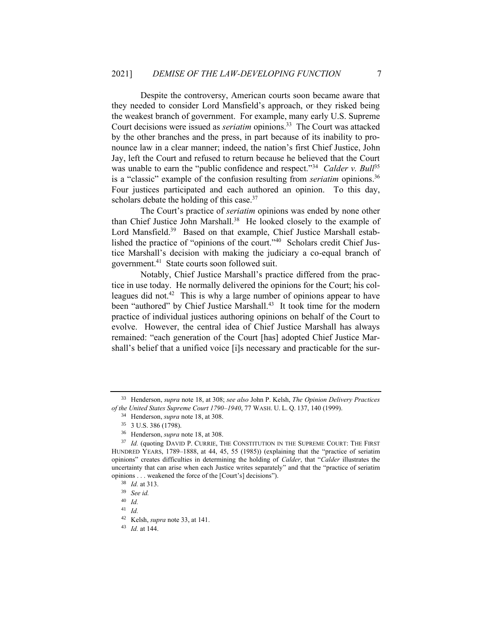Despite the controversy, American courts soon became aware that they needed to consider Lord Mansfield's approach, or they risked being the weakest branch of government. For example, many early U.S. Supreme Court decisions were issued as *seriatim* opinions.<sup>33</sup> The Court was attacked by the other branches and the press, in part because of its inability to pronounce law in a clear manner; indeed, the nation's first Chief Justice, John Jay, left the Court and refused to return because he believed that the Court was unable to earn the "public confidence and respect."<sup>34</sup> Calder v. Bull<sup>35</sup> is a "classic" example of the confusion resulting from *seriatim* opinions.<sup>36</sup> Four justices participated and each authored an opinion. To this day, scholars debate the holding of this case.<sup>37</sup>

The Court's practice of *seriatim* opinions was ended by none other than Chief Justice John Marshall.<sup>38</sup> He looked closely to the example of Lord Mansfield.<sup>39</sup> Based on that example, Chief Justice Marshall established the practice of "opinions of the court."<sup>40</sup> Scholars credit Chief Justice Marshall's decision with making the judiciary a co-equal branch of government.<sup>41</sup> State courts soon followed suit.

Notably, Chief Justice Marshall's practice differed from the practice in use today. He normally delivered the opinions for the Court; his colleagues did not.<sup>42</sup> This is why a large number of opinions appear to have been "authored" by Chief Justice Marshall.<sup>43</sup> It took time for the modern practice of individual justices authoring opinions on behalf of the Court to evolve. However, the central idea of Chief Justice Marshall has always remained: "each generation of the Court [has] adopted Chief Justice Marshall's belief that a unified voice [i]s necessary and practicable for the sur-

<sup>33</sup> Henderson, *supra* note 18, at 308; *see also* John P. Kelsh, *The Opinion Delivery Practices of the United States Supreme Court 1790–1940*, 77 WASH. U. L. Q. 137, 140 (1999).

<sup>34</sup> Henderson, *supra* note 18, at 308.

<sup>35</sup> 3 U.S. 386 (1798).

<sup>36</sup> Henderson, *supra* note 18, at 308.

<sup>&</sup>lt;sup>37</sup> *Id.* (quoting DAVID P. CURRIE, THE CONSTITUTION IN THE SUPREME COURT: THE FIRST HUNDRED YEARS, 1789–1888, at 44, 45, 55 (1985)) (explaining that the "practice of seriatim opinions" creates difficulties in determining the holding of *Calder*, that "*Calder* illustrates the uncertainty that can arise when each Justice writes separately" and that the "practice of seriatim opinions . . . weakened the force of the [Court's] decisions").

<sup>38</sup> *Id.* at 313.

<sup>39</sup> *See id.*

<sup>40</sup> *Id.*

<sup>41</sup> *Id.*

<sup>42</sup> Kelsh, *supra* note 33, at 141.

<sup>43</sup> *Id.* at 144.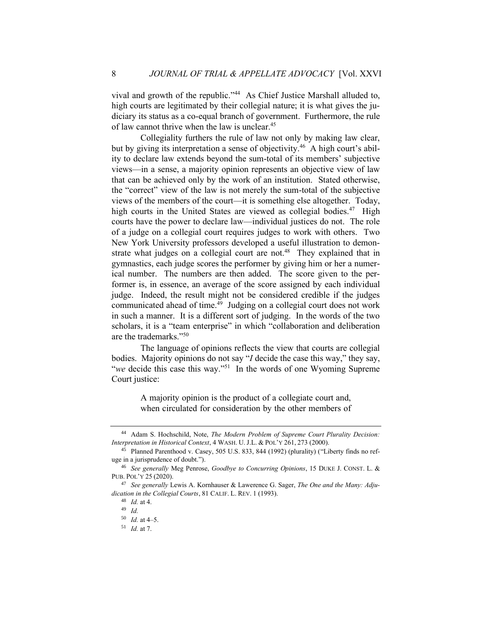vival and growth of the republic."<sup>44</sup> As Chief Justice Marshall alluded to, high courts are legitimated by their collegial nature; it is what gives the judiciary its status as a co-equal branch of government. Furthermore, the rule of law cannot thrive when the law is unclear.<sup>45</sup>

Collegiality furthers the rule of law not only by making law clear, but by giving its interpretation a sense of objectivity.<sup>46</sup> A high court's ability to declare law extends beyond the sum-total of its members' subjective views—in a sense, a majority opinion represents an objective view of law that can be achieved only by the work of an institution. Stated otherwise, the "correct" view of the law is not merely the sum-total of the subjective views of the members of the court—it is something else altogether. Today, high courts in the United States are viewed as collegial bodies.<sup>47</sup> High courts have the power to declare law—individual justices do not. The role of a judge on a collegial court requires judges to work with others. Two New York University professors developed a useful illustration to demonstrate what judges on a collegial court are not.<sup>48</sup> They explained that in gymnastics, each judge scores the performer by giving him or her a numerical number. The numbers are then added. The score given to the performer is, in essence, an average of the score assigned by each individual judge. Indeed, the result might not be considered credible if the judges communicated ahead of time.<sup>49</sup> Judging on a collegial court does not work in such a manner. It is a different sort of judging. In the words of the two scholars, it is a "team enterprise" in which "collaboration and deliberation are the trademarks."<sup>50</sup>

The language of opinions reflects the view that courts are collegial bodies. Majority opinions do not say "*I* decide the case this way," they say, "we decide this case this way."<sup>51</sup> In the words of one Wyoming Supreme Court justice:

> A majority opinion is the product of a collegiate court and, when circulated for consideration by the other members of

<sup>44</sup> Adam S. Hochschild, Note, *The Modern Problem of Supreme Court Plurality Decision: Interpretation in Historical Context*, 4 WASH. U. J.L. & POL'Y 261, 273 (2000).

<sup>45</sup> Planned Parenthood v. Casey, 505 U.S. 833, 844 (1992) (plurality) ("Liberty finds no refuge in a jurisprudence of doubt.").

<sup>46</sup> *See generally* Meg Penrose, *Goodbye to Concurring Opinions*, 15 DUKE J. CONST. L. & PUB. POL'Y 25 (2020).

<sup>47</sup> *See generally* Lewis A. Kornhauser & Lawerence G. Sager, *The One and the Many: Adjudication in the Collegial Courts*, 81 CALIF. L. REV. 1 (1993).

<sup>48</sup> *Id.* at 4.

<sup>49</sup> *Id.*

<sup>50</sup> *Id.* at 4–5.

<sup>51</sup> *Id.* at 7.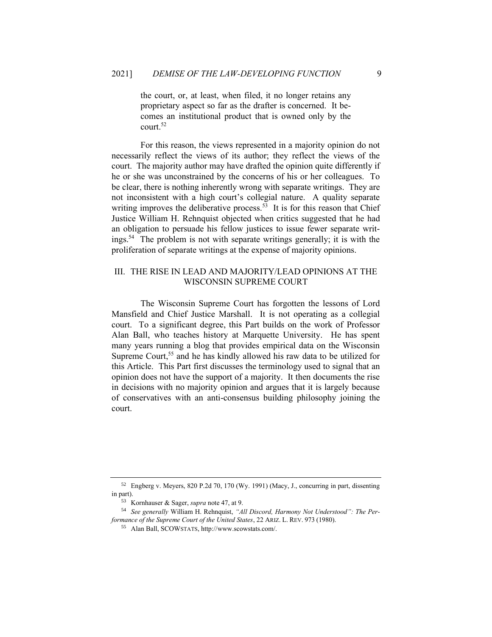the court, or, at least, when filed, it no longer retains any proprietary aspect so far as the drafter is concerned. It becomes an institutional product that is owned only by the court.<sup>52</sup>

For this reason, the views represented in a majority opinion do not necessarily reflect the views of its author; they reflect the views of the court. The majority author may have drafted the opinion quite differently if he or she was unconstrained by the concerns of his or her colleagues. To be clear, there is nothing inherently wrong with separate writings. They are not inconsistent with a high court's collegial nature. A quality separate writing improves the deliberative process.<sup>53</sup> It is for this reason that Chief Justice William H. Rehnquist objected when critics suggested that he had an obligation to persuade his fellow justices to issue fewer separate writings.<sup>54</sup> The problem is not with separate writings generally; it is with the proliferation of separate writings at the expense of majority opinions.

# III. THE RISE IN LEAD AND MAJORITY/LEAD OPINIONS AT THE WISCONSIN SUPREME COURT

The Wisconsin Supreme Court has forgotten the lessons of Lord Mansfield and Chief Justice Marshall. It is not operating as a collegial court. To a significant degree, this Part builds on the work of Professor Alan Ball, who teaches history at Marquette University. He has spent many years running a blog that provides empirical data on the Wisconsin Supreme Court,<sup>55</sup> and he has kindly allowed his raw data to be utilized for this Article. This Part first discusses the terminology used to signal that an opinion does not have the support of a majority. It then documents the rise in decisions with no majority opinion and argues that it is largely because of conservatives with an anti-consensus building philosophy joining the court.

<sup>52</sup> Engberg v. Meyers, 820 P.2d 70, 170 (Wy. 1991) (Macy, J., concurring in part, dissenting in part).

<sup>53</sup> Kornhauser & Sager, *supra* note 47, at 9.

<sup>54</sup> *See generally* William H. Rehnquist, *"All Discord, Harmony Not Understood": The Performance of the Supreme Court of the United States*, 22 ARIZ. L. REV. 973 (1980).

<sup>55</sup> Alan Ball, SCOWSTATS, http://www.scowstats.com/.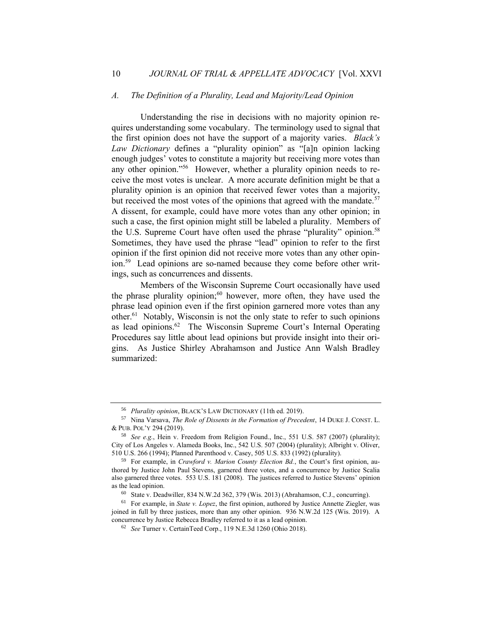#### *A. The Definition of a Plurality, Lead and Majority/Lead Opinion*

Understanding the rise in decisions with no majority opinion requires understanding some vocabulary. The terminology used to signal that the first opinion does not have the support of a majority varies. *Black's Law Dictionary* defines a "plurality opinion" as "[a]n opinion lacking enough judges' votes to constitute a majority but receiving more votes than any other opinion."<sup>56</sup> However, whether a plurality opinion needs to receive the most votes is unclear. A more accurate definition might be that a plurality opinion is an opinion that received fewer votes than a majority, but received the most votes of the opinions that agreed with the mandate.<sup>57</sup> A dissent, for example, could have more votes than any other opinion; in such a case, the first opinion might still be labeled a plurality. Members of the U.S. Supreme Court have often used the phrase "plurality" opinion.<sup>58</sup> Sometimes, they have used the phrase "lead" opinion to refer to the first opinion if the first opinion did not receive more votes than any other opinion.<sup>59</sup> Lead opinions are so-named because they come before other writings, such as concurrences and dissents.

Members of the Wisconsin Supreme Court occasionally have used the phrase plurality opinion; $60$  however, more often, they have used the phrase lead opinion even if the first opinion garnered more votes than any other.<sup>61</sup> Notably, Wisconsin is not the only state to refer to such opinions as lead opinions. $62$  The Wisconsin Supreme Court's Internal Operating Procedures say little about lead opinions but provide insight into their origins. As Justice Shirley Abrahamson and Justice Ann Walsh Bradley summarized:

<sup>56</sup> *Plurality opinion*, BLACK'S LAW DICTIONARY (11th ed. 2019).

<sup>57</sup> Nina Varsava, *The Role of Dissents in the Formation of Precedent*, 14 DUKE J. CONST. L. & PUB. POL'Y 294 (2019).

<sup>58</sup> *See e.g.*, Hein v. Freedom from Religion Found., Inc., 551 U.S. 587 (2007) (plurality); City of Los Angeles v. Alameda Books, Inc., 542 U.S. 507 (2004) (plurality); Albright v. Oliver, 510 U.S. 266 (1994); Planned Parenthood v. Casey, 505 U.S. 833 (1992) (plurality).

<sup>59</sup> For example, in *Crawford v. Marion County Election Bd.*, the Court's first opinion, authored by Justice John Paul Stevens, garnered three votes, and a concurrence by Justice Scalia also garnered three votes. 553 U.S. 181 (2008). The justices referred to Justice Stevens' opinion as the lead opinion.

<sup>60</sup> State v. Deadwiller, 834 N.W.2d 362, 379 (Wis. 2013) (Abrahamson, C.J., concurring).

<sup>61</sup> For example, in *State v. Lopez*, the first opinion, authored by Justice Annette Ziegler, was joined in full by three justices, more than any other opinion. 936 N.W.2d 125 (Wis. 2019). A concurrence by Justice Rebecca Bradley referred to it as a lead opinion.

<sup>62</sup> *See* Turner v. CertainTeed Corp., 119 N.E.3d 1260 (Ohio 2018).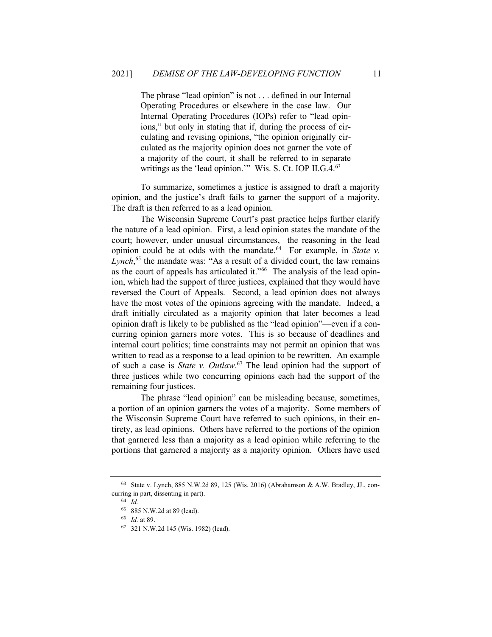The phrase "lead opinion" is not . . . defined in our Internal Operating Procedures or elsewhere in the case law. Our Internal Operating Procedures (IOPs) refer to "lead opinions," but only in stating that if, during the process of circulating and revising opinions, "the opinion originally circulated as the majority opinion does not garner the vote of a majority of the court, it shall be referred to in separate writings as the 'lead opinion.'" Wis. S. Ct. IOP II.G.4.<sup>63</sup>

To summarize, sometimes a justice is assigned to draft a majority opinion, and the justice's draft fails to garner the support of a majority. The draft is then referred to as a lead opinion.

The Wisconsin Supreme Court's past practice helps further clarify the nature of a lead opinion. First, a lead opinion states the mandate of the court; however, under unusual circumstances, the reasoning in the lead opinion could be at odds with the mandate.<sup>64</sup> For example, in *State v*. Lynch,<sup>65</sup> the mandate was: "As a result of a divided court, the law remains as the court of appeals has articulated it."<sup>66</sup> The analysis of the lead opinion, which had the support of three justices, explained that they would have reversed the Court of Appeals. Second, a lead opinion does not always have the most votes of the opinions agreeing with the mandate. Indeed, a draft initially circulated as a majority opinion that later becomes a lead opinion draft is likely to be published as the "lead opinion"—even if a concurring opinion garners more votes. This is so because of deadlines and internal court politics; time constraints may not permit an opinion that was written to read as a response to a lead opinion to be rewritten. An example of such a case is *State v. Outlaw*. <sup>67</sup> The lead opinion had the support of three justices while two concurring opinions each had the support of the remaining four justices.

The phrase "lead opinion" can be misleading because, sometimes, a portion of an opinion garners the votes of a majority. Some members of the Wisconsin Supreme Court have referred to such opinions, in their entirety, as lead opinions. Others have referred to the portions of the opinion that garnered less than a majority as a lead opinion while referring to the portions that garnered a majority as a majority opinion. Others have used

<sup>63</sup> State v. Lynch, 885 N.W.2d 89, 125 (Wis. 2016) (Abrahamson & A.W. Bradley, JJ., concurring in part, dissenting in part).

<sup>64</sup> *Id.*

<sup>65</sup> 885 N.W.2d at 89 (lead).

<sup>66</sup> *Id.* at 89.

<sup>67</sup> 321 N.W.2d 145 (Wis. 1982) (lead).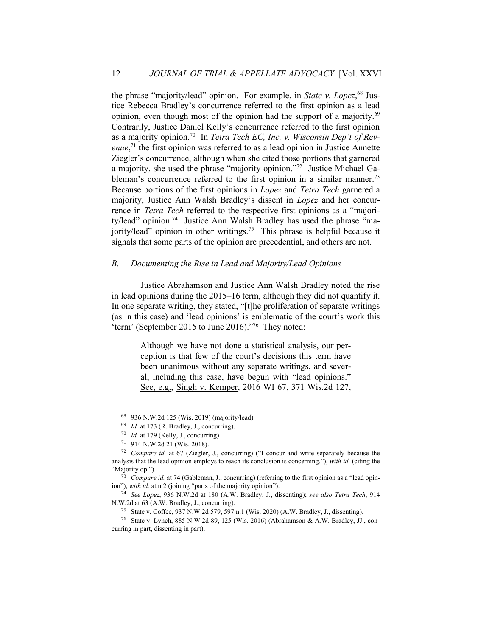the phrase "majority/lead" opinion. For example, in *State v. Lopez*, <sup>68</sup> Justice Rebecca Bradley's concurrence referred to the first opinion as a lead opinion, even though most of the opinion had the support of a majority.<sup>69</sup> Contrarily, Justice Daniel Kelly's concurrence referred to the first opinion as a majority opinion.<sup>70</sup> In *Tetra Tech EC*, Inc. v. Wisconsin Dep't of Rev*enue*, <sup>71</sup> the first opinion was referred to as a lead opinion in Justice Annette Ziegler's concurrence, although when she cited those portions that garnered a majority, she used the phrase "majority opinion."<sup>72</sup> Justice Michael Gableman's concurrence referred to the first opinion in a similar manner.<sup>73</sup> Because portions of the first opinions in *Lopez* and *Tetra Tech* garnered a majority, Justice Ann Walsh Bradley's dissent in *Lopez* and her concurrence in *Tetra Tech* referred to the respective first opinions as a "majority/lead" opinion.<sup>74</sup> Justice Ann Walsh Bradley has used the phrase "majority/lead" opinion in other writings.<sup>75</sup> This phrase is helpful because it signals that some parts of the opinion are precedential, and others are not.

#### *B. Documenting the Rise in Lead and Majority/Lead Opinions*

Justice Abrahamson and Justice Ann Walsh Bradley noted the rise in lead opinions during the 2015–16 term, although they did not quantify it. In one separate writing, they stated, "[t]he proliferation of separate writings (as in this case) and 'lead opinions' is emblematic of the court's work this 'term' (September 2015 to June 2016)."<sup>76</sup> They noted:

> Although we have not done a statistical analysis, our perception is that few of the court's decisions this term have been unanimous without any separate writings, and several, including this case, have begun with "lead opinions." See, e.g., Singh v. Kemper, 2016 WI 67, 371 Wis.2d 127,

<sup>74</sup> *See Lopez*, 936 N.W.2d at 180 (A.W. Bradley, J., dissenting); *see also Tetra Tech*, 914 N.W.2d at 63 (A.W. Bradley, J., concurring).

<sup>68</sup> 936 N.W.2d 125 (Wis. 2019) (majority/lead).

<sup>69</sup> *Id.* at 173 (R. Bradley, J., concurring).

<sup>70</sup> *Id.* at 179 (Kelly, J., concurring).

<sup>71</sup> 914 N.W.2d 21 (Wis. 2018).

<sup>72</sup> *Compare id.* at 67 (Ziegler, J., concurring) ("I concur and write separately because the analysis that the lead opinion employs to reach its conclusion is concerning."), *with id.* (citing the "Majority op.").

<sup>73</sup> *Compare id.* at 74 (Gableman, J., concurring) (referring to the first opinion as a "lead opinion"), *with id.* at n.2 (joining "parts of the majority opinion").

<sup>75</sup> State v. Coffee, 937 N.W.2d 579, 597 n.1 (Wis. 2020) (A.W. Bradley, J., dissenting).

<sup>76</sup> State v. Lynch, 885 N.W.2d 89, 125 (Wis. 2016) (Abrahamson & A.W. Bradley, JJ., concurring in part, dissenting in part).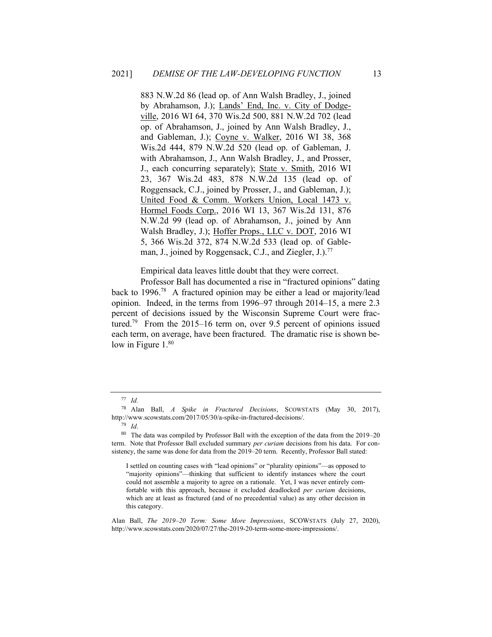883 N.W.2d 86 (lead op. of Ann Walsh Bradley, J., joined by Abrahamson, J.); Lands' End, Inc. v. City of Dodgeville, 2016 WI 64, 370 Wis.2d 500, 881 N.W.2d 702 (lead op. of Abrahamson, J., joined by Ann Walsh Bradley, J., and Gableman, J.); Coyne v. Walker, 2016 WI 38, 368 Wis.2d 444, 879 N.W.2d 520 (lead op. of Gableman, J. with Abrahamson, J., Ann Walsh Bradley, J., and Prosser, J., each concurring separately); State v. Smith, 2016 WI 23, 367 Wis.2d 483, 878 N.W.2d 135 (lead op. of Roggensack, C.J., joined by Prosser, J., and Gableman, J.); United Food & Comm. Workers Union, Local 1473 v. Hormel Foods Corp., 2016 WI 13, 367 Wis.2d 131, 876 N.W.2d 99 (lead op. of Abrahamson, J., joined by Ann Walsh Bradley, J.); Hoffer Props., LLC v. DOT, 2016 WI 5, 366 Wis.2d 372, 874 N.W.2d 533 (lead op. of Gableman, J., joined by Roggensack, C.J., and Ziegler, J.).<sup>77</sup>

Empirical data leaves little doubt that they were correct.

Professor Ball has documented a rise in "fractured opinions" dating back to 1996.<sup>78</sup> A fractured opinion may be either a lead or majority/lead opinion. Indeed, in the terms from 1996–97 through 2014–15, a mere 2.3 percent of decisions issued by the Wisconsin Supreme Court were fractured.<sup>79</sup> From the 2015–16 term on, over 9.5 percent of opinions issued each term, on average, have been fractured. The dramatic rise is shown below in Figure 1.<sup>80</sup>

I settled on counting cases with "lead opinions" or "plurality opinions"—as opposed to "majority opinions"—thinking that sufficient to identify instances where the court could not assemble a majority to agree on a rationale. Yet, I was never entirely comfortable with this approach, because it excluded deadlocked *per curiam* decisions, which are at least as fractured (and of no precedential value) as any other decision in this category.

Alan Ball, *The 2019–20 Term: Some More Impressions*, SCOWSTATS (July 27, 2020), http://www.scowstats.com/2020/07/27/the-2019-20-term-some-more-impressions/.

<sup>77</sup> *Id.*

<sup>78</sup> Alan Ball, *A Spike in Fractured Decisions*, SCOWSTATS (May 30, 2017), http://www.scowstats.com/2017/05/30/a-spike-in-fractured-decisions/.

<sup>79</sup> *Id*.

<sup>80</sup> The data was compiled by Professor Ball with the exception of the data from the 2019–20 term. Note that Professor Ball excluded summary *per curiam* decisions from his data. For consistency, the same was done for data from the 2019–20 term. Recently, Professor Ball stated: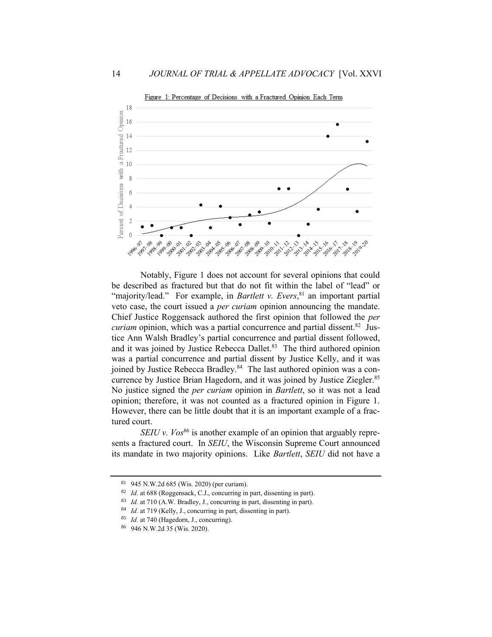

Notably, Figure 1 does not account for several opinions that could be described as fractured but that do not fit within the label of "lead" or "majority/lead." For example, in *Bartlett v. Evers*,<sup>81</sup> an important partial veto case, the court issued a *per curiam* opinion announcing the mandate. Chief Justice Roggensack authored the first opinion that followed the *per*  curiam opinion, which was a partial concurrence and partial dissent.<sup>82</sup> Justice Ann Walsh Bradley's partial concurrence and partial dissent followed, and it was joined by Justice Rebecca Dallet.<sup>83</sup> The third authored opinion was a partial concurrence and partial dissent by Justice Kelly, and it was joined by Justice Rebecca Bradley.<sup>84</sup> The last authored opinion was a concurrence by Justice Brian Hagedorn, and it was joined by Justice Ziegler.<sup>85</sup> No justice signed the *per curiam* opinion in *Bartlett*, so it was not a lead opinion; therefore, it was not counted as a fractured opinion in Figure 1. However, there can be little doubt that it is an important example of a fractured court.

*SEIU v. Vos*<sup>86</sup> is another example of an opinion that arguably represents a fractured court. In *SEIU*, the Wisconsin Supreme Court announced its mandate in two majority opinions. Like *Bartlett*, *SEIU* did not have a

<sup>81</sup> 945 N.W.2d 685 (Wis. 2020) (per curiam).

<sup>82</sup> *Id.* at 688 (Roggensack, C.J., concurring in part, dissenting in part).

<sup>83</sup> *Id.* at 710 (A.W. Bradley, J., concurring in part, dissenting in part).

<sup>84</sup> *Id.* at 719 (Kelly, J., concurring in part, dissenting in part).

<sup>85</sup> *Id.* at 740 (Hagedorn, J., concurring).

<sup>86</sup> 946 N.W.2d 35 (Wis. 2020).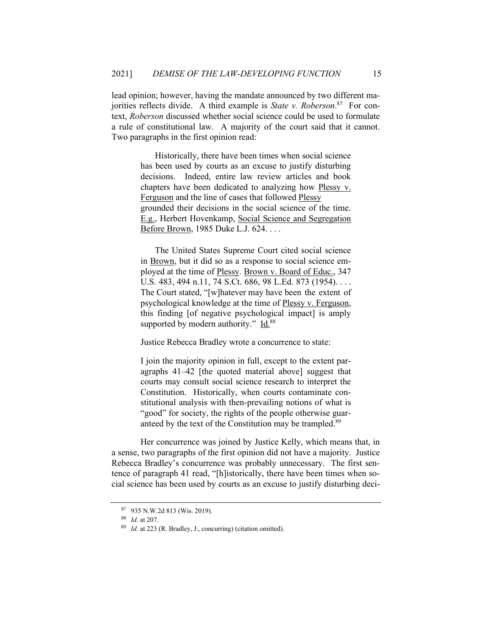lead opinion; however, having the mandate announced by two different majorities reflects divide. A third example is *State v. Roberson*. 87 For context, *Roberson* discussed whether social science could be used to formulate a rule of constitutional law. A majority of the court said that it cannot. Two paragraphs in the first opinion read:

> Historically, there have been times when social science has been used by courts as an excuse to justify disturbing decisions. Indeed, entire law review articles and book chapters have been dedicated to analyzing how Plessy v. Ferguson and the line of cases that followed Plessy grounded their decisions in the social science of the time. E.g., Herbert Hovenkamp, Social Science and Segregation Before Brown, 1985 Duke L.J. 624. . . .

> The United States Supreme Court cited social science in Brown, but it did so as a response to social science employed at the time of Plessy. Brown v. Board of Educ., 347 U.S. 483, 494 n.11, 74 S.Ct. 686, 98 L.Ed. 873 (1954). . . . The Court stated, "[w]hatever may have been the extent of psychological knowledge at the time of Plessy v. Ferguson, this finding [of negative psychological impact] is amply supported by modern authority." Id.<sup>88</sup>

Justice Rebecca Bradley wrote a concurrence to state:

I join the majority opinion in full, except to the extent paragraphs 41–42 [the quoted material above] suggest that courts may consult social science research to interpret the Constitution. Historically, when courts contaminate constitutional analysis with then-prevailing notions of what is "good" for society, the rights of the people otherwise guaranteed by the text of the Constitution may be trampled.<sup>89</sup>

Her concurrence was joined by Justice Kelly, which means that, in a sense, two paragraphs of the first opinion did not have a majority. Justice Rebecca Bradley's concurrence was probably unnecessary. The first sentence of paragraph 41 read, "[h]istorically, there have been times when social science has been used by courts as an excuse to justify disturbing deci-

<sup>87</sup> 935 N.W.2d 813 (Wis. 2019).

<sup>88</sup> *Id.* at 207.

<sup>89</sup> *Id.* at 223 (R. Bradley, J., concurring) (citation omitted).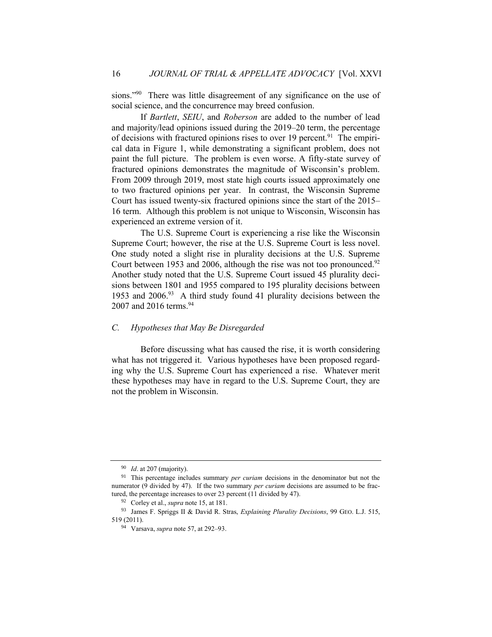sions."<sup>90</sup> There was little disagreement of any significance on the use of social science, and the concurrence may breed confusion.

If *Bartlett*, *SEIU*, and *Roberson* are added to the number of lead and majority/lead opinions issued during the 2019–20 term, the percentage of decisions with fractured opinions rises to over 19 percent.<sup>91</sup> The empirical data in Figure 1, while demonstrating a significant problem, does not paint the full picture. The problem is even worse. A fifty-state survey of fractured opinions demonstrates the magnitude of Wisconsin's problem. From 2009 through 2019, most state high courts issued approximately one to two fractured opinions per year. In contrast, the Wisconsin Supreme Court has issued twenty-six fractured opinions since the start of the 2015– 16 term. Although this problem is not unique to Wisconsin, Wisconsin has experienced an extreme version of it.

The U.S. Supreme Court is experiencing a rise like the Wisconsin Supreme Court; however, the rise at the U.S. Supreme Court is less novel. One study noted a slight rise in plurality decisions at the U.S. Supreme Court between 1953 and 2006, although the rise was not too pronounced. $92$ Another study noted that the U.S. Supreme Court issued 45 plurality decisions between 1801 and 1955 compared to 195 plurality decisions between 1953 and 2006.<sup>93</sup> A third study found 41 plurality decisions between the 2007 and 2016 terms.<sup>94</sup>

# *C. Hypotheses that May Be Disregarded*

Before discussing what has caused the rise, it is worth considering what has not triggered it. Various hypotheses have been proposed regarding why the U.S. Supreme Court has experienced a rise. Whatever merit these hypotheses may have in regard to the U.S. Supreme Court, they are not the problem in Wisconsin.

<sup>90</sup> *Id*. at 207 (majority).

<sup>91</sup> This percentage includes summary *per curiam* decisions in the denominator but not the numerator (9 divided by 47). If the two summary *per curiam* decisions are assumed to be fractured, the percentage increases to over 23 percent (11 divided by 47).

<sup>92</sup> Corley et al., *supra* note 15, at 181.

<sup>93</sup> James F. Spriggs II & David R. Stras, *Explaining Plurality Decisions*, 99 GEO. L.J. 515, 519 (2011).

<sup>94</sup> Varsava, *supra* note 57, at 292–93.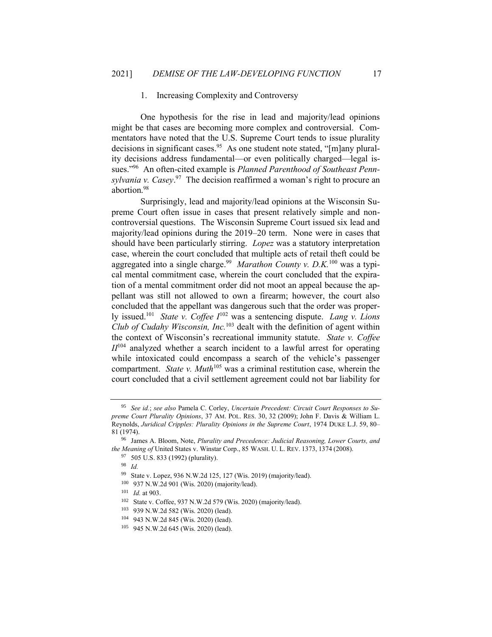#### 1. Increasing Complexity and Controversy

One hypothesis for the rise in lead and majority/lead opinions might be that cases are becoming more complex and controversial. Commentators have noted that the U.S. Supreme Court tends to issue plurality decisions in significant cases.<sup>95</sup> As one student note stated, "[m]any plurality decisions address fundamental—or even politically charged—legal issues."<sup>96</sup> An often-cited example is *Planned Parenthood of Southeast Pennsylvania v. Casey*. 97 The decision reaffirmed a woman's right to procure an abortion.<sup>98</sup>

Surprisingly, lead and majority/lead opinions at the Wisconsin Supreme Court often issue in cases that present relatively simple and noncontroversial questions. The Wisconsin Supreme Court issued six lead and majority/lead opinions during the 2019–20 term. None were in cases that should have been particularly stirring. *Lopez* was a statutory interpretation case, wherein the court concluded that multiple acts of retail theft could be aggregated into a single charge.<sup>99</sup> Marathon County v. D.K.<sup>100</sup> was a typical mental commitment case, wherein the court concluded that the expiration of a mental commitment order did not moot an appeal because the appellant was still not allowed to own a firearm; however, the court also concluded that the appellant was dangerous such that the order was properly issued.<sup>101</sup> *State v. Coffee I*<sup>102</sup> was a sentencing dispute. *Lang v. Lions Club of Cudahy Wisconsin, Inc.*<sup>103</sup> dealt with the definition of agent within the context of Wisconsin's recreational immunity statute. *State v. Coffee II*<sup>104</sup> analyzed whether a search incident to a lawful arrest for operating while intoxicated could encompass a search of the vehicle's passenger compartment. *State v. Muth*<sup>105</sup> was a criminal restitution case, wherein the court concluded that a civil settlement agreement could not bar liability for

<sup>98</sup> *Id.*

<sup>95</sup> *See id.*; *see also* Pamela C. Corley, *Uncertain Precedent: Circuit Court Responses to Supreme Court Plurality Opinions*, 37 AM. POL. RES. 30, 32 (2009); John F. Davis & William L. Reynolds, *Juridical Cripples: Plurality Opinions in the Supreme Court*, 1974 DUKE L.J. 59, 80– 81 (1974).

<sup>96</sup> James A. Bloom, Note, *Plurality and Precedence: Judicial Reasoning, Lower Courts, and the Meaning of* United States v. Winstar Corp., 85 WASH. U. L. REV. 1373, 1374 (2008).

<sup>97</sup> 505 U.S. 833 (1992) (plurality).

<sup>99</sup> State v. Lopez, 936 N.W.2d 125, 127 (Wis. 2019) (majority/lead).

<sup>100</sup> 937 N.W.2d 901 (Wis. 2020) (majority/lead).

<sup>101</sup> *Id.* at 903.

<sup>102</sup> State v. Coffee, 937 N.W.2d 579 (Wis. 2020) (majority/lead).

<sup>103</sup> 939 N.W.2d 582 (Wis. 2020) (lead).

<sup>104</sup> 943 N.W.2d 845 (Wis. 2020) (lead).

<sup>105</sup> 945 N.W.2d 645 (Wis. 2020) (lead).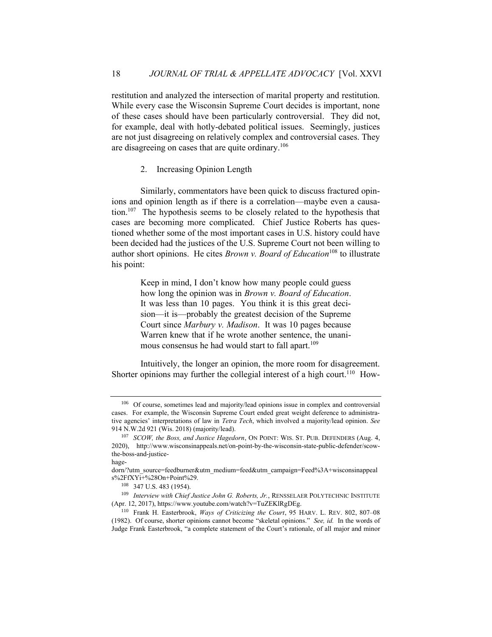restitution and analyzed the intersection of marital property and restitution. While every case the Wisconsin Supreme Court decides is important, none of these cases should have been particularly controversial. They did not, for example, deal with hotly-debated political issues. Seemingly, justices are not just disagreeing on relatively complex and controversial cases. They are disagreeing on cases that are quite ordinary.<sup>106</sup>

# 2. Increasing Opinion Length

Similarly, commentators have been quick to discuss fractured opinions and opinion length as if there is a correlation—maybe even a causation.<sup>107</sup> The hypothesis seems to be closely related to the hypothesis that cases are becoming more complicated. Chief Justice Roberts has questioned whether some of the most important cases in U.S. history could have been decided had the justices of the U.S. Supreme Court not been willing to author short opinions. He cites *Brown v. Board of Education*<sup>108</sup> to illustrate his point:

> Keep in mind, I don't know how many people could guess how long the opinion was in *Brown v. Board of Education*. It was less than 10 pages. You think it is this great decision—it is—probably the greatest decision of the Supreme Court since *Marbury v. Madison*. It was 10 pages because Warren knew that if he wrote another sentence, the unanimous consensus he had would start to fall apart.<sup>109</sup>

Intuitively, the longer an opinion, the more room for disagreement. Shorter opinions may further the collegial interest of a high court.<sup>110</sup> How-

<sup>106</sup> Of course, sometimes lead and majority/lead opinions issue in complex and controversial cases. For example, the Wisconsin Supreme Court ended great weight deference to administrative agencies' interpretations of law in *Tetra Tech*, which involved a majority/lead opinion. *See*  914 N.W.2d 921 (Wis. 2018) (majority/lead).

<sup>&</sup>lt;sup>107</sup> *SCOW, the Boss, and Justice Hagedorn, ON POINT: WIS. ST. PUB. DEFENDERS (Aug. 4,* 2020), http://www.wisconsinappeals.net/on-point-by-the-wisconsin-state-public-defender/scowthe-boss-and-justice-

hage-

dorn/?utm\_source=feedburner&utm\_medium=feed&utm\_campaign=Feed%3A+wisconsinappeal s%2FfXYi+%28On+Point%29.

<sup>108</sup> 347 U.S. 483 (1954).

<sup>109</sup> *Interview with Chief Justice John G. Roberts, Jr.*, RENSSELAER POLYTECHNIC INSTITUTE (Apr. 12, 2017), https://www.youtube.com/watch?v=TuZEKlRgDEg.

<sup>110</sup> Frank H. Easterbrook, *Ways of Criticizing the Court*, 95 HARV. L. REV. 802, 807–08 (1982). Of course, shorter opinions cannot become "skeletal opinions." *See, id.* In the words of Judge Frank Easterbrook, "a complete statement of the Court's rationale, of all major and minor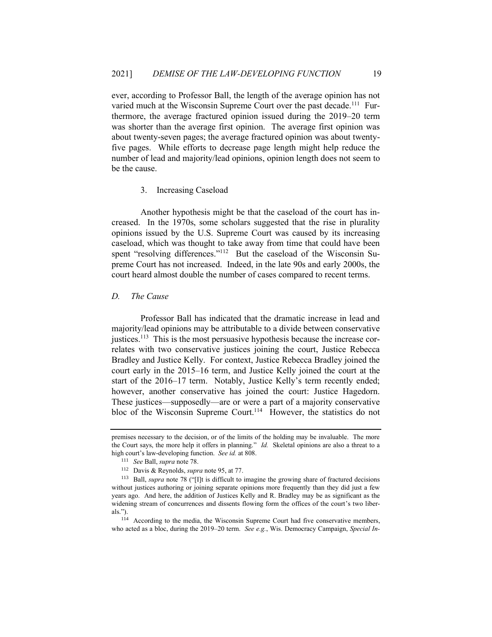ever, according to Professor Ball, the length of the average opinion has not varied much at the Wisconsin Supreme Court over the past decade.<sup>111</sup> Furthermore, the average fractured opinion issued during the 2019–20 term was shorter than the average first opinion. The average first opinion was about twenty-seven pages; the average fractured opinion was about twentyfive pages. While efforts to decrease page length might help reduce the number of lead and majority/lead opinions, opinion length does not seem to be the cause.

# 3. Increasing Caseload

Another hypothesis might be that the caseload of the court has increased. In the 1970s, some scholars suggested that the rise in plurality opinions issued by the U.S. Supreme Court was caused by its increasing caseload, which was thought to take away from time that could have been spent "resolving differences."<sup>112</sup> But the caseload of the Wisconsin Supreme Court has not increased. Indeed, in the late 90s and early 2000s, the court heard almost double the number of cases compared to recent terms.

# *D. The Cause*

Professor Ball has indicated that the dramatic increase in lead and majority/lead opinions may be attributable to a divide between conservative justices.<sup>113</sup> This is the most persuasive hypothesis because the increase correlates with two conservative justices joining the court, Justice Rebecca Bradley and Justice Kelly. For context, Justice Rebecca Bradley joined the court early in the 2015–16 term, and Justice Kelly joined the court at the start of the 2016–17 term. Notably, Justice Kelly's term recently ended; however, another conservative has joined the court: Justice Hagedorn. These justices—supposedly—are or were a part of a majority conservative bloc of the Wisconsin Supreme Court.<sup>114</sup> However, the statistics do not

premises necessary to the decision, or of the limits of the holding may be invaluable. The more the Court says, the more help it offers in planning." *Id.* Skeletal opinions are also a threat to a high court's law-developing function. *See id.* at 808.

<sup>111</sup> *See* Ball, *supra* note 78.

<sup>112</sup> Davis & Reynolds, *supra* note 95, at 77.

<sup>&</sup>lt;sup>113</sup> Ball, *supra* note 78 ("[I]t is difficult to imagine the growing share of fractured decisions without justices authoring or joining separate opinions more frequently than they did just a few years ago. And here, the addition of Justices Kelly and R. Bradley may be as significant as the widening stream of concurrences and dissents flowing form the offices of the court's two liberals.").

<sup>114</sup> According to the media, the Wisconsin Supreme Court had five conservative members, who acted as a bloc, during the 2019–20 term. *See e.g.*, Wis. Democracy Campaign, *Special In-*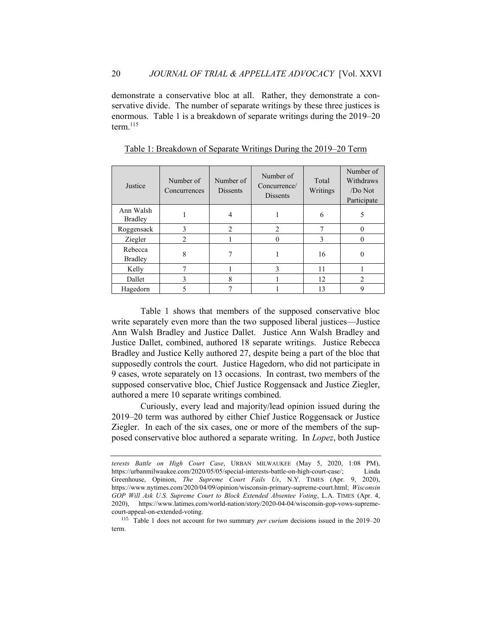demonstrate a conservative bloc at all. Rather, they demonstrate a conservative divide. The number of separate writings by these three justices is enormous. Table 1 is a breakdown of separate writings during the 2019–20 term. $^{115}$ 

| Justice                     | Number of<br>Concurrences | Number of<br><b>Dissents</b> | Number of<br>Concurrence/<br><b>Dissents</b> | Total<br>Writings | Number of<br>Withdraws<br>$/Do$ Not<br>Participate |
|-----------------------------|---------------------------|------------------------------|----------------------------------------------|-------------------|----------------------------------------------------|
| Ann Walsh<br><b>Bradley</b> |                           |                              |                                              | 6                 |                                                    |
| Roggensack                  | 3                         | $\mathfrak{D}$               | $\mathfrak{D}$                               |                   |                                                    |
| Ziegler                     | 2                         |                              |                                              | 3                 |                                                    |
| Rebecca<br><b>Bradley</b>   | 8                         |                              |                                              | 16                |                                                    |
| Kelly                       | 7                         |                              | 3                                            | 11                |                                                    |
| Dallet                      | 3                         | 8                            |                                              | 12                |                                                    |
| Hagedorn                    |                           |                              |                                              | 13                |                                                    |

Table 1: Breakdown of Separate Writings During the 2019–20 Term

Table 1 shows that members of the supposed conservative bloc write separately even more than the two supposed liberal justices—Justice Ann Walsh Bradley and Justice Dallet. Justice Ann Walsh Bradley and Justice Dallet, combined, authored 18 separate writings. Justice Rebecca Bradley and Justice Kelly authored 27, despite being a part of the bloc that supposedly controls the court. Justice Hagedorn, who did not participate in 9 cases, wrote separately on 13 occasions. In contrast, two members of the supposed conservative bloc, Chief Justice Roggensack and Justice Ziegler, authored a mere 10 separate writings combined.

Curiously, every lead and majority/lead opinion issued during the 2019–20 term was authored by either Chief Justice Roggensack or Justice Ziegler. In each of the six cases, one or more of the members of the supposed conservative bloc authored a separate writing. In *Lopez*, both Justice

*terests Battle on High Court Case*, URBAN MILWAUKEE (May 5, 2020, 1:08 PM), https://urbanmilwaukee.com/2020/05/05/special-interests-battle-on-high-court-case/; Linda Greenhouse, Opinion, *The Supreme Court Fails Us*, N.Y. TIMES (Apr. 9, 2020), https://www.nytimes.com/2020/04/09/opinion/wisconsin-primary-supreme-court.html; *Wisconsin GOP Will Ask U.S. Supreme Court to Block Extended Absentee Voting*, L.A. TIMES (Apr. 4, 2020), https://www.latimes.com/world-nation/story/2020-04-04/wisconsin-gop-vows-supremecourt-appeal-on-extended-voting.

<sup>115</sup> Table 1 does not account for two summary *per curiam* decisions issued in the 2019–20 term.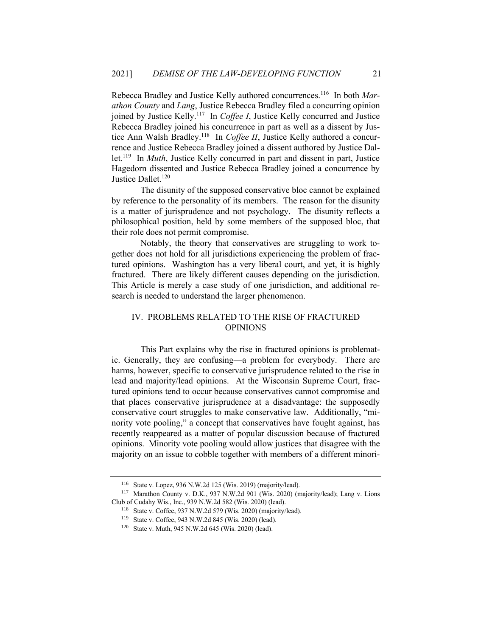Rebecca Bradley and Justice Kelly authored concurrences.<sup>116</sup> In both *Marathon County* and *Lang*, Justice Rebecca Bradley filed a concurring opinion joined by Justice Kelly.<sup>117</sup> In *Coffee I*, Justice Kelly concurred and Justice Rebecca Bradley joined his concurrence in part as well as a dissent by Justice Ann Walsh Bradley.<sup>118</sup> In *Coffee II*, Justice Kelly authored a concurrence and Justice Rebecca Bradley joined a dissent authored by Justice Dallet.<sup>119</sup> In *Muth*, Justice Kelly concurred in part and dissent in part, Justice Hagedorn dissented and Justice Rebecca Bradley joined a concurrence by Justice Dallet.<sup>120</sup>

The disunity of the supposed conservative bloc cannot be explained by reference to the personality of its members. The reason for the disunity is a matter of jurisprudence and not psychology. The disunity reflects a philosophical position, held by some members of the supposed bloc, that their role does not permit compromise.

Notably, the theory that conservatives are struggling to work together does not hold for all jurisdictions experiencing the problem of fractured opinions. Washington has a very liberal court, and yet, it is highly fractured. There are likely different causes depending on the jurisdiction. This Article is merely a case study of one jurisdiction, and additional research is needed to understand the larger phenomenon.

# IV. PROBLEMS RELATED TO THE RISE OF FRACTURED OPINIONS

This Part explains why the rise in fractured opinions is problematic. Generally, they are confusing—a problem for everybody. There are harms, however, specific to conservative jurisprudence related to the rise in lead and majority/lead opinions. At the Wisconsin Supreme Court, fractured opinions tend to occur because conservatives cannot compromise and that places conservative jurisprudence at a disadvantage: the supposedly conservative court struggles to make conservative law. Additionally, "minority vote pooling," a concept that conservatives have fought against, has recently reappeared as a matter of popular discussion because of fractured opinions. Minority vote pooling would allow justices that disagree with the majority on an issue to cobble together with members of a different minori-

<sup>116</sup> State v. Lopez, 936 N.W.2d 125 (Wis. 2019) (majority/lead).

<sup>117</sup> Marathon County v. D.K., 937 N.W.2d 901 (Wis. 2020) (majority/lead); Lang v. Lions Club of Cudahy Wis., Inc., 939 N.W.2d 582 (Wis. 2020) (lead).

<sup>118</sup> State v. Coffee, 937 N.W.2d 579 (Wis. 2020) (majority/lead).

<sup>119</sup> State v. Coffee, 943 N.W.2d 845 (Wis. 2020) (lead).

<sup>120</sup> State v. Muth, 945 N.W.2d 645 (Wis. 2020) (lead).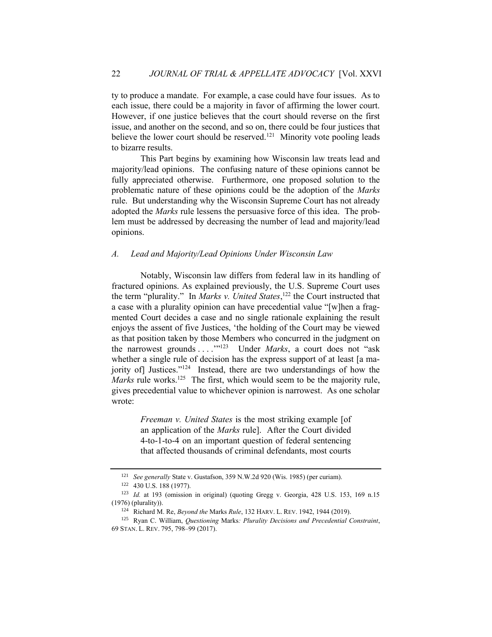ty to produce a mandate. For example, a case could have four issues. As to each issue, there could be a majority in favor of affirming the lower court. However, if one justice believes that the court should reverse on the first issue, and another on the second, and so on, there could be four justices that believe the lower court should be reserved.<sup>121</sup> Minority vote pooling leads to bizarre results.

This Part begins by examining how Wisconsin law treats lead and majority/lead opinions. The confusing nature of these opinions cannot be fully appreciated otherwise. Furthermore, one proposed solution to the problematic nature of these opinions could be the adoption of the *Marks*  rule. But understanding why the Wisconsin Supreme Court has not already adopted the *Marks* rule lessens the persuasive force of this idea. The problem must be addressed by decreasing the number of lead and majority/lead opinions.

#### *A. Lead and Majority/Lead Opinions Under Wisconsin Law*

Notably, Wisconsin law differs from federal law in its handling of fractured opinions. As explained previously, the U.S. Supreme Court uses the term "plurality." In *Marks v. United States*, <sup>122</sup> the Court instructed that a case with a plurality opinion can have precedential value "[w]hen a fragmented Court decides a case and no single rationale explaining the result enjoys the assent of five Justices, 'the holding of the Court may be viewed as that position taken by those Members who concurred in the judgment on the narrowest grounds ...."<sup>123</sup> Under *Marks*, a court does not "ask" whether a single rule of decision has the express support of at least [a majority of] Justices."<sup>124</sup> Instead, there are two understandings of how the Marks rule works.<sup>125</sup> The first, which would seem to be the majority rule, gives precedential value to whichever opinion is narrowest. As one scholar wrote:

> *Freeman v. United States* is the most striking example [of an application of the *Marks* rule]. After the Court divided 4-to-1-to-4 on an important question of federal sentencing that affected thousands of criminal defendants, most courts

<sup>121</sup> *See generally* State v. Gustafson, 359 N.W.2d 920 (Wis. 1985) (per curiam).

<sup>122</sup> 430 U.S. 188 (1977).

<sup>123</sup> *Id.* at 193 (omission in original) (quoting Gregg v. Georgia, 428 U.S. 153, 169 n.15 (1976) (plurality)).

<sup>124</sup> Richard M. Re, *Beyond the* Marks *Rule*, 132 HARV. L. REV. 1942, 1944 (2019).

<sup>125</sup> Ryan C. William, *Questioning* Marks*: Plurality Decisions and Precedential Constraint*, 69 STAN. L. REV. 795, 798–99 (2017).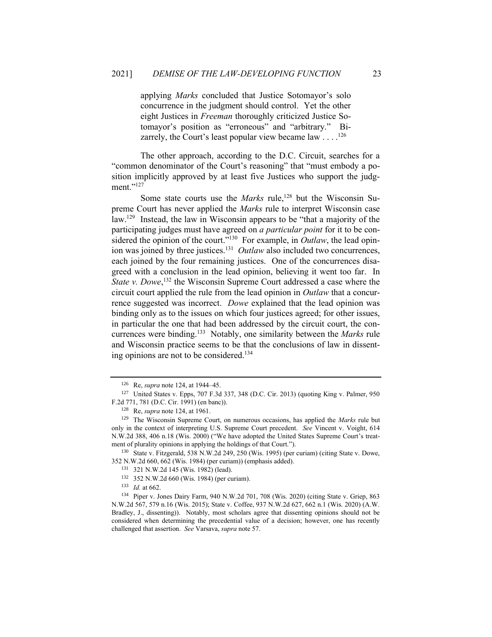applying *Marks* concluded that Justice Sotomayor's solo concurrence in the judgment should control. Yet the other eight Justices in *Freeman* thoroughly criticized Justice Sotomayor's position as "erroneous" and "arbitrary." Bizarrely, the Court's least popular view became law  $\dots$ . <sup>126</sup>

The other approach, according to the D.C. Circuit, searches for a "common denominator of the Court's reasoning" that "must embody a position implicitly approved by at least five Justices who support the judgment."<sup>127</sup>

Some state courts use the *Marks* rule,<sup>128</sup> but the Wisconsin Supreme Court has never applied the *Marks* rule to interpret Wisconsin case law.<sup>129</sup> Instead, the law in Wisconsin appears to be "that a majority of the participating judges must have agreed on *a particular point* for it to be considered the opinion of the court."<sup>130</sup> For example, in *Outlaw*, the lead opinion was joined by three justices.<sup>131</sup> Outlaw also included two concurrences, each joined by the four remaining justices. One of the concurrences disagreed with a conclusion in the lead opinion, believing it went too far. In State v. Dowe,<sup>132</sup> the Wisconsin Supreme Court addressed a case where the circuit court applied the rule from the lead opinion in *Outlaw* that a concurrence suggested was incorrect. *Dowe* explained that the lead opinion was binding only as to the issues on which four justices agreed; for other issues, in particular the one that had been addressed by the circuit court, the concurrences were binding.<sup>133</sup> Notably, one similarity between the *Marks* rule and Wisconsin practice seems to be that the conclusions of law in dissenting opinions are not to be considered.<sup>134</sup>

<sup>130</sup> State v. Fitzgerald, 538 N.W.2d 249, 250 (Wis. 1995) (per curiam) (citing State v. Dowe, 352 N.W.2d 660, 662 (Wis. 1984) (per curiam)) (emphasis added).

<sup>133</sup> *Id.* at 662.

<sup>126</sup> Re, *supra* note 124, at 1944–45.

<sup>127</sup> United States v. Epps, 707 F.3d 337, 348 (D.C. Cir. 2013) (quoting King v. Palmer, 950 F.2d 771, 781 (D.C. Cir. 1991) (en banc)).

<sup>128</sup> Re, *supra* note 124, at 1961.

<sup>129</sup> The Wisconsin Supreme Court, on numerous occasions, has applied the *Marks* rule but only in the context of interpreting U.S. Supreme Court precedent. *See* Vincent v. Voight, 614 N.W.2d 388, 406 n.18 (Wis. 2000) ("We have adopted the United States Supreme Court's treatment of plurality opinions in applying the holdings of that Court.").

<sup>131</sup> 321 N.W.2d 145 (Wis. 1982) (lead).

<sup>132</sup> 352 N.W.2d 660 (Wis. 1984) (per curiam).

<sup>134</sup> Piper v. Jones Dairy Farm, 940 N.W.2d 701, 708 (Wis. 2020) (citing State v. Griep, 863 N.W.2d 567, 579 n.16 (Wis. 2015); State v. Coffee, 937 N.W.2d 627, 662 n.1 (Wis. 2020) (A.W. Bradley, J., dissenting)). Notably, most scholars agree that dissenting opinions should not be considered when determining the precedential value of a decision; however, one has recently challenged that assertion. *See* Varsava, *supra* note 57.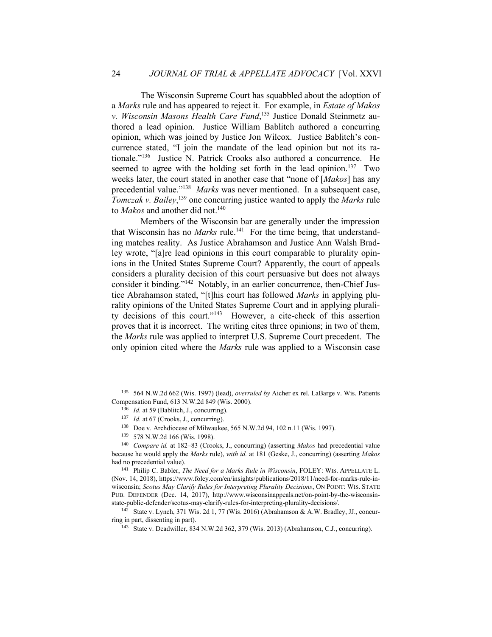The Wisconsin Supreme Court has squabbled about the adoption of a *Marks* rule and has appeared to reject it. For example, in *Estate of Makos v. Wisconsin Masons Health Care Fund*, <sup>135</sup> Justice Donald Steinmetz authored a lead opinion. Justice William Bablitch authored a concurring opinion, which was joined by Justice Jon Wilcox. Justice Bablitch's concurrence stated, "I join the mandate of the lead opinion but not its rationale."<sup>136</sup> Justice N. Patrick Crooks also authored a concurrence. He seemed to agree with the holding set forth in the lead opinion.<sup>137</sup> Two weeks later, the court stated in another case that "none of [*Makos*] has any precedential value."<sup>138</sup> Marks was never mentioned. In a subsequent case, *Tomczak v. Bailey*, <sup>139</sup> one concurring justice wanted to apply the *Marks* rule to *Makos* and another did not.<sup>140</sup>

Members of the Wisconsin bar are generally under the impression that Wisconsin has no *Marks* rule.<sup>141</sup> For the time being, that understanding matches reality. As Justice Abrahamson and Justice Ann Walsh Bradley wrote, "[a]re lead opinions in this court comparable to plurality opinions in the United States Supreme Court? Apparently, the court of appeals considers a plurality decision of this court persuasive but does not always consider it binding."<sup>142</sup> Notably, in an earlier concurrence, then-Chief Justice Abrahamson stated, "[t]his court has followed *Marks* in applying plurality opinions of the United States Supreme Court and in applying plurality decisions of this court."<sup>143</sup> However, a cite-check of this assertion proves that it is incorrect. The writing cites three opinions; in two of them, the *Marks* rule was applied to interpret U.S. Supreme Court precedent. The only opinion cited where the *Marks* rule was applied to a Wisconsin case

<sup>135</sup> 564 N.W.2d 662 (Wis. 1997) (lead), *overruled by* Aicher ex rel. LaBarge v. Wis. Patients Compensation Fund, 613 N.W.2d 849 (Wis. 2000).

<sup>136</sup> *Id.* at 59 (Bablitch, J., concurring).

<sup>&</sup>lt;sup>137</sup> *Id.* at 67 (Crooks, J., concurring).

<sup>138</sup> Doe v. Archdiocese of Milwaukee, 565 N.W.2d 94, 102 n.11 (Wis. 1997).

<sup>139</sup> 578 N.W.2d 166 (Wis. 1998).

<sup>140</sup> *Compare id.* at 182–83 (Crooks, J., concurring) (asserting *Makos* had precedential value because he would apply the *Marks* rule), *with id.* at 181 (Geske, J., concurring) (asserting *Makos* had no precedential value).

<sup>141</sup> Philip C. Babler, *The Need for a Marks Rule in Wisconsin*, FOLEY: WIS. APPELLATE L. (Nov. 14, 2018), https://www.foley.com/en/insights/publications/2018/11/need-for-marks-rule-inwisconsin; *Scotus May Clarify Rules for Interpreting Plurality Decisions*, ON POINT: WIS. STATE PUB. DEFENDER (Dec. 14, 2017), http://www.wisconsinappeals.net/on-point-by-the-wisconsinstate-public-defender/scotus-may-clarify-rules-for-interpreting-plurality-decisions/.

<sup>142</sup> State v. Lynch, 371 Wis. 2d 1, 77 (Wis. 2016) (Abrahamson & A.W. Bradley, JJ., concurring in part, dissenting in part).

<sup>143</sup> State v. Deadwiller, 834 N.W.2d 362, 379 (Wis. 2013) (Abrahamson, C.J., concurring).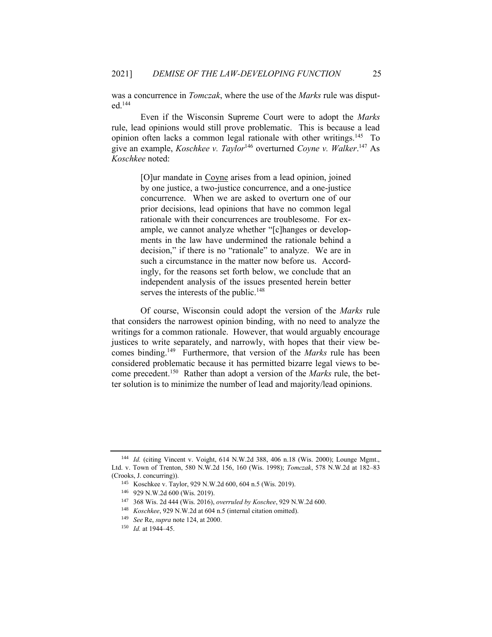was a concurrence in *Tomczak*, where the use of the *Marks* rule was disputed.<sup>144</sup>

Even if the Wisconsin Supreme Court were to adopt the *Marks* rule, lead opinions would still prove problematic. This is because a lead opinion often lacks a common legal rationale with other writings.<sup>145</sup> To give an example, *Koschkee v. Taylor*<sup>146</sup> overturned *Coyne v. Walker*. <sup>147</sup> As *Koschkee* noted:

> [O]ur mandate in Coyne arises from a lead opinion, joined by one justice, a two-justice concurrence, and a one-justice concurrence. When we are asked to overturn one of our prior decisions, lead opinions that have no common legal rationale with their concurrences are troublesome. For example, we cannot analyze whether "[c]hanges or developments in the law have undermined the rationale behind a decision," if there is no "rationale" to analyze. We are in such a circumstance in the matter now before us. Accordingly, for the reasons set forth below, we conclude that an independent analysis of the issues presented herein better serves the interests of the public.<sup>148</sup>

Of course, Wisconsin could adopt the version of the *Marks* rule that considers the narrowest opinion binding, with no need to analyze the writings for a common rationale. However, that would arguably encourage justices to write separately, and narrowly, with hopes that their view becomes binding.<sup>149</sup> Furthermore, that version of the *Marks* rule has been considered problematic because it has permitted bizarre legal views to become precedent.<sup>150</sup> Rather than adopt a version of the *Marks* rule, the better solution is to minimize the number of lead and majority/lead opinions.

<sup>144</sup> *Id.* (citing Vincent v. Voight, 614 N.W.2d 388, 406 n.18 (Wis. 2000); Lounge Mgmt., Ltd. v. Town of Trenton, 580 N.W.2d 156, 160 (Wis. 1998); *Tomczak*, 578 N.W.2d at 182–83 (Crooks, J. concurring)).

<sup>145</sup> Koschkee v. Taylor, 929 N.W.2d 600, 604 n.5 (Wis. 2019).

<sup>146</sup> 929 N.W.2d 600 (Wis. 2019).

<sup>147</sup> 368 Wis. 2d 444 (Wis. 2016), *overruled by Koschee*, 929 N.W.2d 600.

<sup>148</sup> *Koschkee*, 929 N.W.2d at 604 n.5 (internal citation omitted).

<sup>149</sup> *See* Re, *supra* note 124, at 2000.

<sup>150</sup> *Id.* at 1944–45.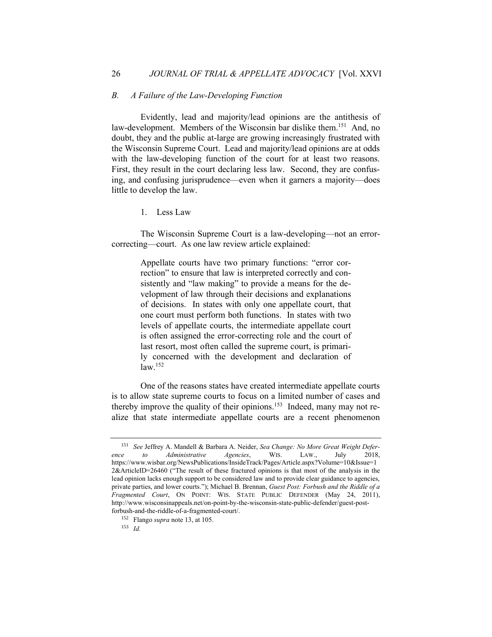#### *B. A Failure of the Law-Developing Function*

Evidently, lead and majority/lead opinions are the antithesis of law-development. Members of the Wisconsin bar dislike them.<sup>151</sup> And, no doubt, they and the public at-large are growing increasingly frustrated with the Wisconsin Supreme Court. Lead and majority/lead opinions are at odds with the law-developing function of the court for at least two reasons. First, they result in the court declaring less law. Second, they are confusing, and confusing jurisprudence—even when it garners a majority—does little to develop the law.

1. Less Law

The Wisconsin Supreme Court is a law-developing—not an errorcorrecting—court. As one law review article explained:

> Appellate courts have two primary functions: "error correction" to ensure that law is interpreted correctly and consistently and "law making" to provide a means for the development of law through their decisions and explanations of decisions. In states with only one appellate court, that one court must perform both functions. In states with two levels of appellate courts, the intermediate appellate court is often assigned the error-correcting role and the court of last resort, most often called the supreme court, is primarily concerned with the development and declaration of  $law<sup>.152</sup>$

One of the reasons states have created intermediate appellate courts is to allow state supreme courts to focus on a limited number of cases and thereby improve the quality of their opinions.<sup>153</sup> Indeed, many may not realize that state intermediate appellate courts are a recent phenomenon

<sup>151</sup> *See* Jeffrey A. Mandell & Barbara A. Neider, *Sea Change: No More Great Weight Deference to Administrative Agencies*, WIS. LAW., July 2018, https://www.wisbar.org/NewsPublications/InsideTrack/Pages/Article.aspx?Volume=10&Issue=1 2&ArticleID=26460 ("The result of these fractured opinions is that most of the analysis in the lead opinion lacks enough support to be considered law and to provide clear guidance to agencies, private parties, and lower courts."); Michael B. Brennan, *Guest Post: Forbush and the Riddle of a Fragmented Court*, ON POINT: WIS. STATE PUBLIC DEFENDER (May 24, 2011), http://www.wisconsinappeals.net/on-point-by-the-wisconsin-state-public-defender/guest-postforbush-and-the-riddle-of-a-fragmented-court/.

<sup>152</sup> Flango *supra* note 13, at 105.

<sup>153</sup> *Id.*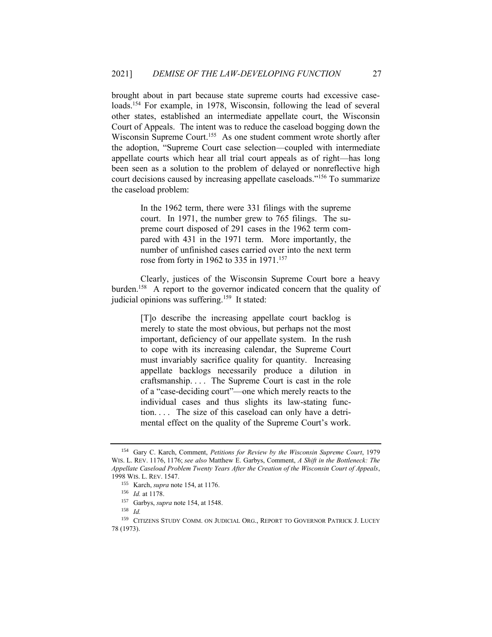brought about in part because state supreme courts had excessive caseloads.<sup>154</sup> For example, in 1978, Wisconsin, following the lead of several other states, established an intermediate appellate court, the Wisconsin Court of Appeals. The intent was to reduce the caseload bogging down the Wisconsin Supreme Court.<sup>155</sup> As one student comment wrote shortly after the adoption, "Supreme Court case selection—coupled with intermediate appellate courts which hear all trial court appeals as of right—has long been seen as a solution to the problem of delayed or nonreflective high court decisions caused by increasing appellate caseloads."<sup>156</sup> To summarize the caseload problem:

> In the 1962 term, there were 331 filings with the supreme court. In 1971, the number grew to 765 filings. The supreme court disposed of 291 cases in the 1962 term compared with 431 in the 1971 term. More importantly, the number of unfinished cases carried over into the next term rose from forty in 1962 to 335 in 1971.<sup>157</sup>

Clearly, justices of the Wisconsin Supreme Court bore a heavy burden.<sup>158</sup> A report to the governor indicated concern that the quality of judicial opinions was suffering.<sup>159</sup> It stated:

> [T]o describe the increasing appellate court backlog is merely to state the most obvious, but perhaps not the most important, deficiency of our appellate system. In the rush to cope with its increasing calendar, the Supreme Court must invariably sacrifice quality for quantity. Increasing appellate backlogs necessarily produce a dilution in craftsmanship. . . . The Supreme Court is cast in the role of a "case-deciding court"—one which merely reacts to the individual cases and thus slights its law-stating function. . . . The size of this caseload can only have a detrimental effect on the quality of the Supreme Court's work.

<sup>154</sup> Gary C. Karch, Comment, *Petitions for Review by the Wisconsin Supreme Court*, 1979 WIS. L. REV. 1176, 1176; *see also* Matthew E. Garbys, Comment, *A Shift in the Bottleneck: The Appellate Caseload Problem Twenty Years After the Creation of the Wisconsin Court of Appeals*, 1998 WIS. L. REV. 1547.

<sup>155</sup> Karch, *supra* note 154, at 1176.

<sup>156</sup> *Id.* at 1178.

<sup>157</sup> Garbys, *supra* note 154, at 1548.

<sup>158</sup> *Id.*

<sup>159</sup> CITIZENS STUDY COMM. ON JUDICIAL ORG., REPORT TO GOVERNOR PATRICK J. LUCEY 78 (1973).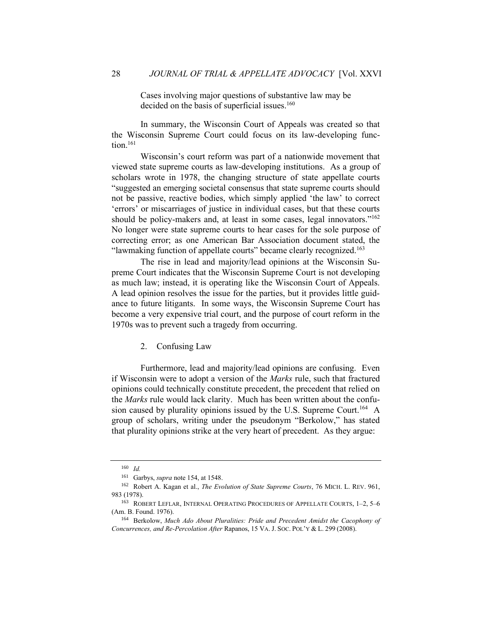Cases involving major questions of substantive law may be decided on the basis of superficial issues.<sup>160</sup>

In summary, the Wisconsin Court of Appeals was created so that the Wisconsin Supreme Court could focus on its law-developing func $tion$ <sup>161</sup>

Wisconsin's court reform was part of a nationwide movement that viewed state supreme courts as law-developing institutions. As a group of scholars wrote in 1978, the changing structure of state appellate courts "suggested an emerging societal consensus that state supreme courts should not be passive, reactive bodies, which simply applied 'the law' to correct 'errors' or miscarriages of justice in individual cases, but that these courts should be policy-makers and, at least in some cases, legal innovators."<sup>162</sup> No longer were state supreme courts to hear cases for the sole purpose of correcting error; as one American Bar Association document stated, the "lawmaking function of appellate courts" became clearly recognized.<sup>163</sup>

The rise in lead and majority/lead opinions at the Wisconsin Supreme Court indicates that the Wisconsin Supreme Court is not developing as much law; instead, it is operating like the Wisconsin Court of Appeals. A lead opinion resolves the issue for the parties, but it provides little guidance to future litigants. In some ways, the Wisconsin Supreme Court has become a very expensive trial court, and the purpose of court reform in the 1970s was to prevent such a tragedy from occurring.

#### 2. Confusing Law

Furthermore, lead and majority/lead opinions are confusing. Even if Wisconsin were to adopt a version of the *Marks* rule, such that fractured opinions could technically constitute precedent, the precedent that relied on the *Marks* rule would lack clarity. Much has been written about the confusion caused by plurality opinions issued by the U.S. Supreme Court.<sup>164</sup> A group of scholars, writing under the pseudonym "Berkolow," has stated that plurality opinions strike at the very heart of precedent. As they argue:

<sup>160</sup> *Id.*

<sup>161</sup> Garbys, *supra* note 154, at 1548.

<sup>162</sup> Robert A. Kagan et al., *The Evolution of State Supreme Courts*, 76 MICH. L. REV. 961, 983 (1978).

<sup>163</sup> ROBERT LEFLAR, INTERNAL OPERATING PROCEDURES OF APPELLATE COURTS, 1–2, 5–6 (Am. B. Found. 1976).

<sup>164</sup> Berkolow, *Much Ado About Pluralities: Pride and Precedent Amidst the Cacophony of Concurrences, and Re-Percolation After* Rapanos, 15 VA. J. SOC. POL'Y & L. 299 (2008).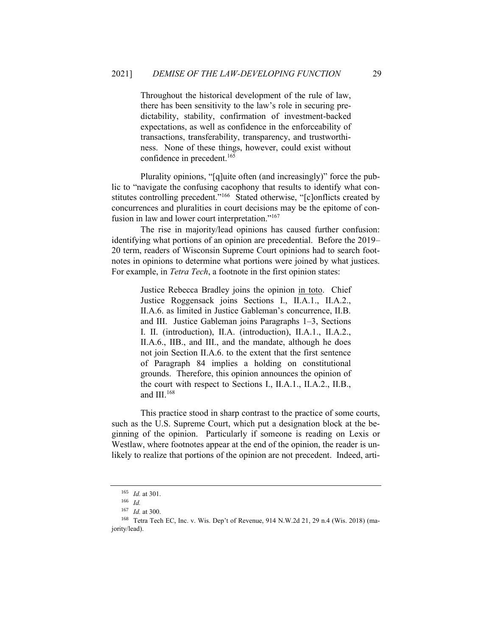Throughout the historical development of the rule of law, there has been sensitivity to the law's role in securing predictability, stability, confirmation of investment-backed expectations, as well as confidence in the enforceability of transactions, transferability, transparency, and trustworthiness. None of these things, however, could exist without confidence in precedent.<sup>165</sup>

Plurality opinions, "[q]uite often (and increasingly)" force the public to "navigate the confusing cacophony that results to identify what constitutes controlling precedent."<sup>166</sup> Stated otherwise, "[c]onflicts created by concurrences and pluralities in court decisions may be the epitome of confusion in law and lower court interpretation."<sup>167</sup>

The rise in majority/lead opinions has caused further confusion: identifying what portions of an opinion are precedential. Before the 2019– 20 term, readers of Wisconsin Supreme Court opinions had to search footnotes in opinions to determine what portions were joined by what justices. For example, in *Tetra Tech*, a footnote in the first opinion states:

> Justice Rebecca Bradley joins the opinion in toto. Chief Justice Roggensack joins Sections I., II.A.1., II.A.2., II.A.6. as limited in Justice Gableman's concurrence, II.B. and III. Justice Gableman joins Paragraphs 1–3, Sections I. II. (introduction), II.A. (introduction), II.A.1., II.A.2., II.A.6., IIB., and III., and the mandate, although he does not join Section II.A.6. to the extent that the first sentence of Paragraph 84 implies a holding on constitutional grounds. Therefore, this opinion announces the opinion of the court with respect to Sections I., II.A.1., II.A.2., II.B., and III.<sup>168</sup>

This practice stood in sharp contrast to the practice of some courts, such as the U.S. Supreme Court, which put a designation block at the beginning of the opinion. Particularly if someone is reading on Lexis or Westlaw, where footnotes appear at the end of the opinion, the reader is unlikely to realize that portions of the opinion are not precedent. Indeed, arti-

<sup>165</sup> *Id.* at 301.

<sup>166</sup> *Id.*

<sup>167</sup> *Id.* at 300.

<sup>168</sup> Tetra Tech EC, Inc. v. Wis. Dep't of Revenue, 914 N.W.2d 21, 29 n.4 (Wis. 2018) (majority/lead).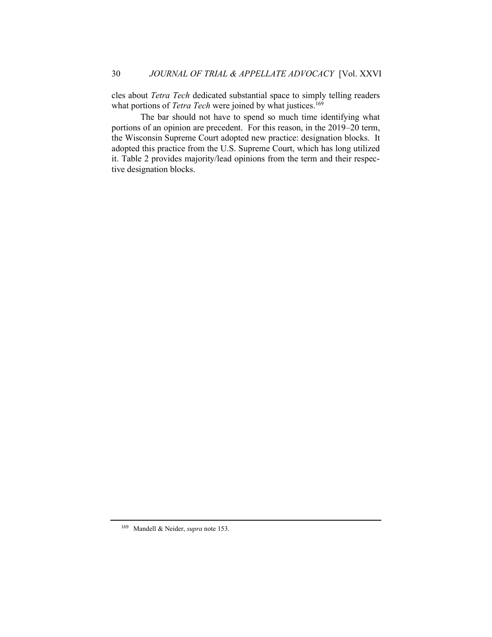cles about *Tetra Tech* dedicated substantial space to simply telling readers what portions of *Tetra Tech* were joined by what justices.<sup>169</sup>

The bar should not have to spend so much time identifying what portions of an opinion are precedent. For this reason, in the 2019–20 term, the Wisconsin Supreme Court adopted new practice: designation blocks. It adopted this practice from the U.S. Supreme Court, which has long utilized it. Table 2 provides majority/lead opinions from the term and their respective designation blocks.

<sup>169</sup> Mandell & Neider, *supra* note 153.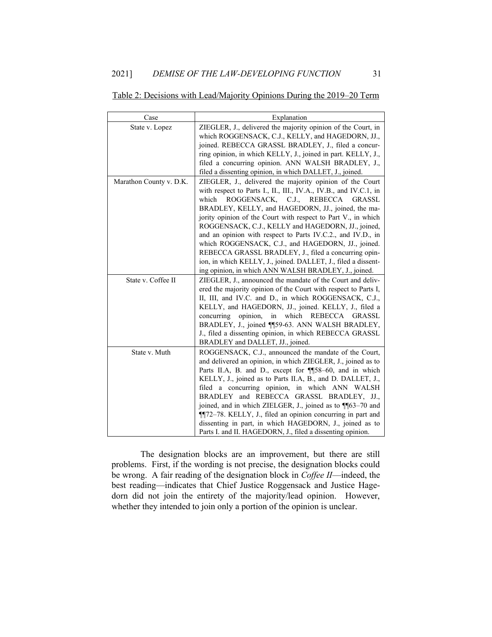| Case                    | Explanation                                                                                                        |  |  |
|-------------------------|--------------------------------------------------------------------------------------------------------------------|--|--|
| State v. Lopez          | ZIEGLER, J., delivered the majority opinion of the Court, in<br>which ROGGENSACK, C.J., KELLY, and HAGEDORN, JJ.,  |  |  |
|                         | joined. REBECCA GRASSL BRADLEY, J., filed a concur-                                                                |  |  |
|                         | ring opinion, in which KELLY, J., joined in part. KELLY, J.,<br>filed a concurring opinion. ANN WALSH BRADLEY, J., |  |  |
|                         | filed a dissenting opinion, in which DALLET, J., joined.                                                           |  |  |
| Marathon County v. D.K. | ZIEGLER, J., delivered the majority opinion of the Court                                                           |  |  |
|                         | with respect to Parts I., II., III., IV.A., IV.B., and IV.C.1, in                                                  |  |  |
|                         | which<br>ROGGENSACK, C.J., REBECCA<br>GRASSL                                                                       |  |  |
|                         | BRADLEY, KELLY, and HAGEDORN, JJ., joined, the ma-                                                                 |  |  |
|                         | jority opinion of the Court with respect to Part V., in which                                                      |  |  |
|                         | ROGGENSACK, C.J., KELLY and HAGEDORN, JJ., joined,                                                                 |  |  |
|                         | and an opinion with respect to Parts IV.C.2., and IV.D., in<br>which ROGGENSACK, C.J., and HAGEDORN, JJ., joined.  |  |  |
|                         | REBECCA GRASSL BRADLEY, J., filed a concurring opin-                                                               |  |  |
|                         | ion, in which KELLY, J., joined. DALLET, J., filed a dissent-                                                      |  |  |
|                         | ing opinion, in which ANN WALSH BRADLEY, J., joined.                                                               |  |  |
| State v. Coffee II      | ZIEGLER, J., announced the mandate of the Court and deliv-                                                         |  |  |
|                         | ered the majority opinion of the Court with respect to Parts I,                                                    |  |  |
|                         | II, III, and IV.C. and D., in which ROGGENSACK, C.J.,                                                              |  |  |
|                         | KELLY, and HAGEDORN, JJ., joined. KELLY, J., filed a<br>opinion, in which REBECCA GRASSL<br>concurring             |  |  |
|                         | BRADLEY, J., joined ¶59-63. ANN WALSH BRADLEY,                                                                     |  |  |
|                         | J., filed a dissenting opinion, in which REBECCA GRASSL                                                            |  |  |
|                         | BRADLEY and DALLET, JJ., joined.                                                                                   |  |  |
| State v. Muth           | ROGGENSACK, C.J., announced the mandate of the Court,                                                              |  |  |
|                         | and delivered an opinion, in which ZIEGLER, J., joined as to                                                       |  |  |
|                         | Parts II.A, B. and D., except for ¶58-60, and in which                                                             |  |  |
|                         | KELLY, J., joined as to Parts II.A, B., and D. DALLET, J.,                                                         |  |  |
|                         | filed a concurring opinion, in which ANN WALSH                                                                     |  |  |
|                         | BRADLEY and REBECCA GRASSL BRADLEY, JJ.,<br>joined, and in which ZIELGER, J., joined as to ¶¶63-70 and             |  |  |
|                         | ¶¶72-78. KELLY, J., filed an opinion concurring in part and                                                        |  |  |
|                         | dissenting in part, in which HAGEDORN, J., joined as to                                                            |  |  |
|                         | Parts I. and II. HAGEDORN, J., filed a dissenting opinion.                                                         |  |  |

# Table 2: Decisions with Lead/Majority Opinions During the 2019–20 Term

The designation blocks are an improvement, but there are still problems. First, if the wording is not precise, the designation blocks could be wrong. A fair reading of the designation block in *Coffee II*—indeed, the best reading—indicates that Chief Justice Roggensack and Justice Hagedorn did not join the entirety of the majority/lead opinion. However, whether they intended to join only a portion of the opinion is unclear.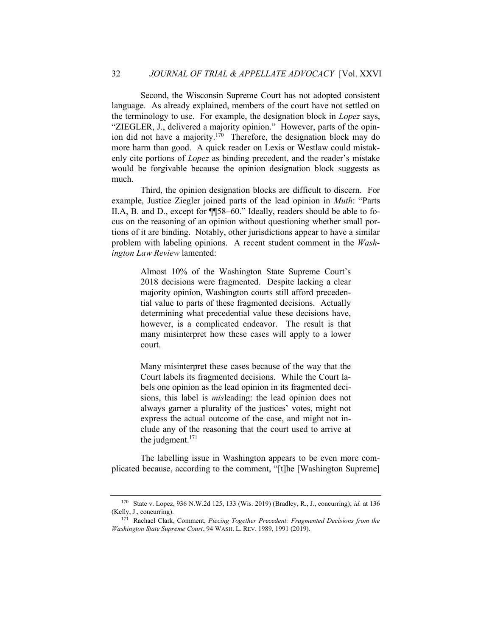Second, the Wisconsin Supreme Court has not adopted consistent language. As already explained, members of the court have not settled on the terminology to use. For example, the designation block in *Lopez* says, "ZIEGLER, J., delivered a majority opinion." However, parts of the opinion did not have a majority.<sup>170</sup> Therefore, the designation block may do more harm than good. A quick reader on Lexis or Westlaw could mistakenly cite portions of *Lopez* as binding precedent, and the reader's mistake would be forgivable because the opinion designation block suggests as much.

Third, the opinion designation blocks are difficult to discern. For example, Justice Ziegler joined parts of the lead opinion in *Muth*: "Parts II.A, B. and D., except for ¶¶58–60." Ideally, readers should be able to focus on the reasoning of an opinion without questioning whether small portions of it are binding. Notably, other jurisdictions appear to have a similar problem with labeling opinions. A recent student comment in the *Washington Law Review* lamented:

> Almost 10% of the Washington State Supreme Court's 2018 decisions were fragmented. Despite lacking a clear majority opinion, Washington courts still afford precedential value to parts of these fragmented decisions. Actually determining what precedential value these decisions have, however, is a complicated endeavor. The result is that many misinterpret how these cases will apply to a lower court.

> Many misinterpret these cases because of the way that the Court labels its fragmented decisions. While the Court labels one opinion as the lead opinion in its fragmented decisions, this label is *mis*leading: the lead opinion does not always garner a plurality of the justices' votes, might not express the actual outcome of the case, and might not include any of the reasoning that the court used to arrive at the judgment.<sup>171</sup>

The labelling issue in Washington appears to be even more complicated because, according to the comment, "[t]he [Washington Supreme]

<sup>170</sup> State v. Lopez, 936 N.W.2d 125, 133 (Wis. 2019) (Bradley, R., J., concurring); *id.* at 136 (Kelly, J., concurring).

<sup>171</sup> Rachael Clark, Comment, *Piecing Together Precedent: Fragmented Decisions from the Washington State Supreme Court*, 94 WASH. L. REV. 1989, 1991 (2019).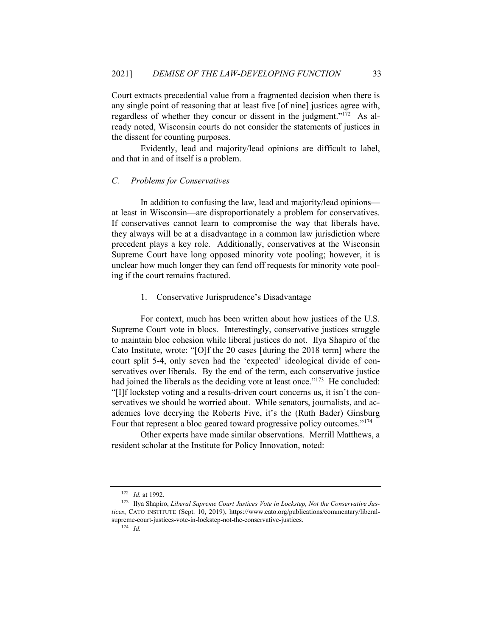Court extracts precedential value from a fragmented decision when there is any single point of reasoning that at least five [of nine] justices agree with, regardless of whether they concur or dissent in the judgment."<sup>172</sup> As already noted, Wisconsin courts do not consider the statements of justices in the dissent for counting purposes.

Evidently, lead and majority/lead opinions are difficult to label, and that in and of itself is a problem.

#### *C. Problems for Conservatives*

In addition to confusing the law, lead and majority/lead opinions at least in Wisconsin—are disproportionately a problem for conservatives. If conservatives cannot learn to compromise the way that liberals have, they always will be at a disadvantage in a common law jurisdiction where precedent plays a key role. Additionally, conservatives at the Wisconsin Supreme Court have long opposed minority vote pooling; however, it is unclear how much longer they can fend off requests for minority vote pooling if the court remains fractured.

#### 1. Conservative Jurisprudence's Disadvantage

For context, much has been written about how justices of the U.S. Supreme Court vote in blocs. Interestingly, conservative justices struggle to maintain bloc cohesion while liberal justices do not. Ilya Shapiro of the Cato Institute, wrote: "[O]f the 20 cases [during the 2018 term] where the court split 5-4, only seven had the 'expected' ideological divide of conservatives over liberals. By the end of the term, each conservative justice had joined the liberals as the deciding vote at least once."<sup>173</sup> He concluded: "[I]f lockstep voting and a results-driven court concerns us, it isn't the conservatives we should be worried about. While senators, journalists, and academics love decrying the Roberts Five, it's the (Ruth Bader) Ginsburg Four that represent a bloc geared toward progressive policy outcomes."<sup>174</sup>

Other experts have made similar observations. Merrill Matthews, a resident scholar at the Institute for Policy Innovation, noted:

<sup>172</sup> *Id.* at 1992.

<sup>173</sup> Ilya Shapiro, *Liberal Supreme Court Justices Vote in Lockstep, Not the Conservative Justices*, CATO INSTITUTE (Sept. 10, 2019), https://www.cato.org/publications/commentary/liberalsupreme-court-justices-vote-in-lockstep-not-the-conservative-justices.

<sup>174</sup> *Id.*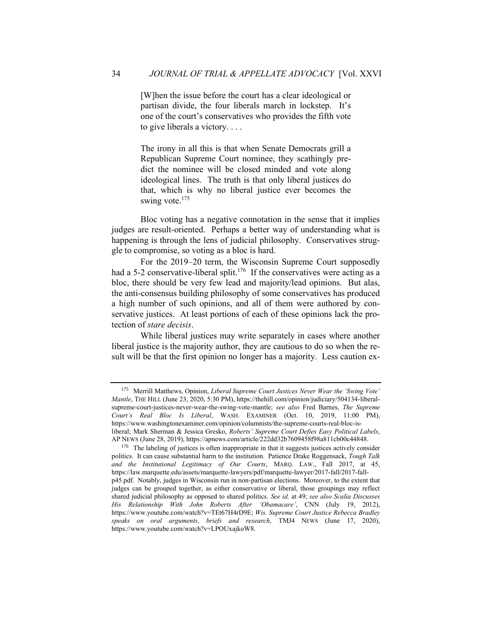[W]hen the issue before the court has a clear ideological or partisan divide, the four liberals march in lockstep. It's one of the court's conservatives who provides the fifth vote to give liberals a victory. . . .

The irony in all this is that when Senate Democrats grill a Republican Supreme Court nominee, they scathingly predict the nominee will be closed minded and vote along ideological lines. The truth is that only liberal justices do that, which is why no liberal justice ever becomes the swing vote.<sup>175</sup>

Bloc voting has a negative connotation in the sense that it implies judges are result-oriented. Perhaps a better way of understanding what is happening is through the lens of judicial philosophy. Conservatives struggle to compromise, so voting as a bloc is hard.

For the 2019–20 term, the Wisconsin Supreme Court supposedly had a 5-2 conservative-liberal split.<sup>176</sup> If the conservatives were acting as a bloc, there should be very few lead and majority/lead opinions. But alas, the anti-consensus building philosophy of some conservatives has produced a high number of such opinions, and all of them were authored by conservative justices. At least portions of each of these opinions lack the protection of *stare decisis*.

While liberal justices may write separately in cases where another liberal justice is the majority author, they are cautious to do so when the result will be that the first opinion no longer has a majority. Less caution ex-

<sup>175</sup> Merrill Matthews, Opinion, *Liberal Supreme Court Justices Never Wear the 'Swing Vote' Mantle*, THE HILL (June 23, 2020, 5:30 PM), https://thehill.com/opinion/judiciary/504134-liberalsupreme-court-justices-never-wear-the-swing-vote-mantle; *see also* Fred Barnes, *The Supreme Court's Real Bloc Is Liberal*, WASH. EXAMINER (Oct. 10, 2019, 11:00 PM), https://www.washingtonexaminer.com/opinion/columnists/the-supreme-courts-real-bloc-isliberal; Mark Sherman & Jessica Gresko, *Roberts' Supreme Court Defies Easy Political Labels*, AP NEWS (June 28, 2019), https://apnews.com/article/222dd32b7609458f98a811cb00c44848.

<sup>&</sup>lt;sup>176</sup> The labeling of justices is often inappropriate in that it suggests justices actively consider politics. It can cause substantial harm to the institution. Patience Drake Roggensack, *Tough Talk and the Institutional Legitimacy of Our Courts*, MARQ. LAW., Fall 2017, at 45, https://law.marquette.edu/assets/marquette-lawyers/pdf/marquette-lawyer/2017-fall/2017-fallp45.pdf. Notably, judges in Wisconsin run in non-partisan elections. Moreover, to the extent that judges can be grouped together, as either conservative or liberal, those groupings may reflect shared judicial philosophy as opposed to shared politics. *See id.* at 49; *see also Scalia Discusses His Relationship With John Roberts After 'Obamacare'*, CNN (July 19, 2012), https://www.youtube.com/watch?v=TEt67H4rD9E; *Wis. Supreme Court Justice Rebecca Bradley speaks on oral arguments, briefs and research*, TMJ4 NEWS (June 17, 2020), https://www.youtube.com/watch?v=LPOUxajkoW8.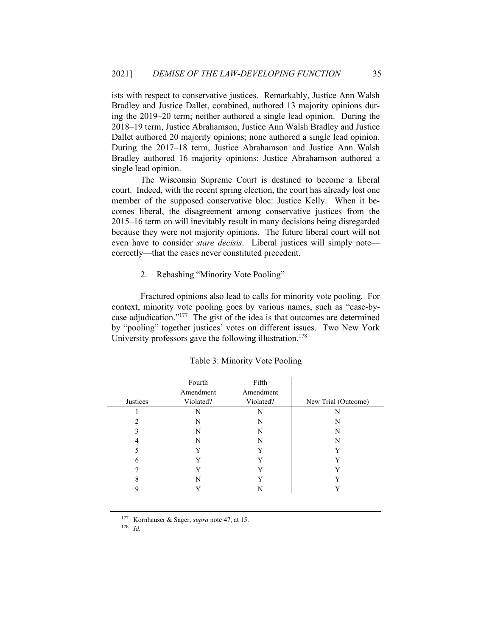ists with respect to conservative justices. Remarkably, Justice Ann Walsh Bradley and Justice Dallet, combined, authored 13 majority opinions during the 2019–20 term; neither authored a single lead opinion. During the 2018–19 term, Justice Abrahamson, Justice Ann Walsh Bradley and Justice Dallet authored 20 majority opinions; none authored a single lead opinion. During the 2017–18 term, Justice Abrahamson and Justice Ann Walsh Bradley authored 16 majority opinions; Justice Abrahamson authored a single lead opinion.

The Wisconsin Supreme Court is destined to become a liberal court. Indeed, with the recent spring election, the court has already lost one member of the supposed conservative bloc: Justice Kelly. When it becomes liberal, the disagreement among conservative justices from the 2015–16 term on will inevitably result in many decisions being disregarded because they were not majority opinions. The future liberal court will not even have to consider *stare decisis*. Liberal justices will simply note correctly—that the cases never constituted precedent.

2. Rehashing "Minority Vote Pooling"

Fractured opinions also lead to calls for minority vote pooling. For context, minority vote pooling goes by various names, such as "case-bycase adjudication."<sup>177</sup> The gist of the idea is that outcomes are determined by "pooling" together justices' votes on different issues. Two New York University professors gave the following illustration.<sup>178</sup>

| Justices | Fourth<br>Amendment<br>Violated? | Fifth<br>Amendment<br>Violated? | New Trial (Outcome) |
|----------|----------------------------------|---------------------------------|---------------------|
|          | N                                | N                               | N                   |
|          | N                                | N                               | N                   |
| 3        | N                                | N                               | N                   |
| 4        | N                                | N                               | N                   |
| 5        | $\mathbf{v}$                     | Y                               |                     |
| 6        | $\mathbf{v}$                     | Y                               |                     |
|          |                                  | $\mathbf v$                     |                     |
| 8        | N                                | v                               |                     |
| 9        |                                  |                                 |                     |

#### Table 3: Minority Vote Pooling

<sup>177</sup> Kornhauser & Sager, *supra* note 47, at 15.

<sup>178</sup> *Id.*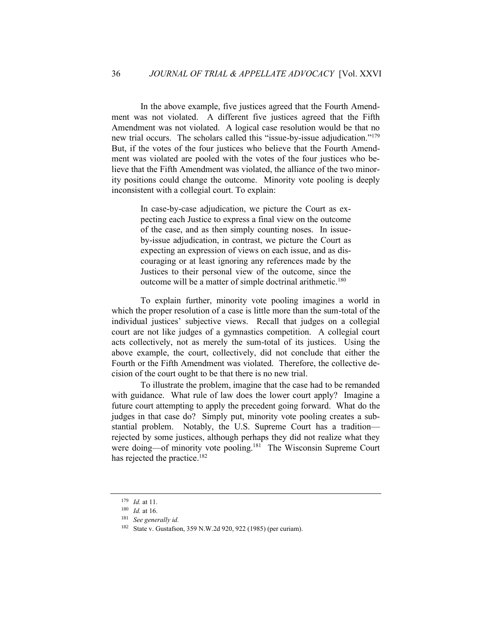In the above example, five justices agreed that the Fourth Amendment was not violated. A different five justices agreed that the Fifth Amendment was not violated. A logical case resolution would be that no new trial occurs. The scholars called this "issue-by-issue adjudication."<sup>179</sup> But, if the votes of the four justices who believe that the Fourth Amendment was violated are pooled with the votes of the four justices who believe that the Fifth Amendment was violated, the alliance of the two minority positions could change the outcome. Minority vote pooling is deeply inconsistent with a collegial court. To explain:

> In case-by-case adjudication, we picture the Court as expecting each Justice to express a final view on the outcome of the case, and as then simply counting noses. In issueby-issue adjudication, in contrast, we picture the Court as expecting an expression of views on each issue, and as discouraging or at least ignoring any references made by the Justices to their personal view of the outcome, since the outcome will be a matter of simple doctrinal arithmetic.<sup>180</sup>

To explain further, minority vote pooling imagines a world in which the proper resolution of a case is little more than the sum-total of the individual justices' subjective views. Recall that judges on a collegial court are not like judges of a gymnastics competition. A collegial court acts collectively, not as merely the sum-total of its justices. Using the above example, the court, collectively, did not conclude that either the Fourth or the Fifth Amendment was violated. Therefore, the collective decision of the court ought to be that there is no new trial.

To illustrate the problem, imagine that the case had to be remanded with guidance. What rule of law does the lower court apply? Imagine a future court attempting to apply the precedent going forward. What do the judges in that case do? Simply put, minority vote pooling creates a substantial problem. Notably, the U.S. Supreme Court has a tradition rejected by some justices, although perhaps they did not realize what they were doing—of minority vote pooling.<sup>181</sup> The Wisconsin Supreme Court has rejected the practice.<sup>182</sup>

<sup>179</sup> *Id.* at 11.

<sup>180</sup> *Id.* at 16.

<sup>181</sup> *See generally id.*

<sup>182</sup> State v. Gustafson, 359 N.W.2d 920, 922 (1985) (per curiam).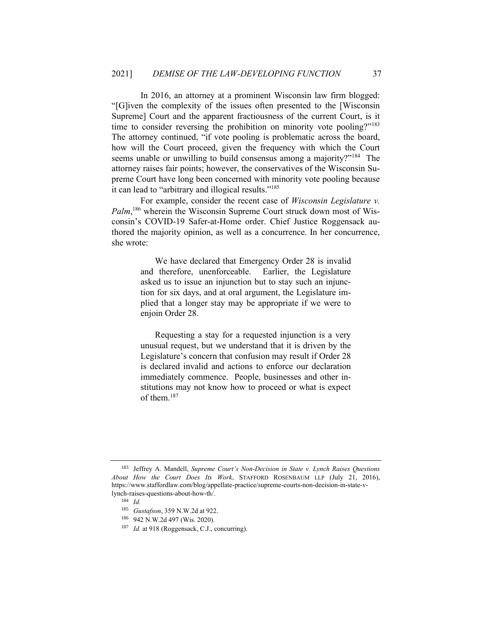In 2016, an attorney at a prominent Wisconsin law firm blogged: "[G]iven the complexity of the issues often presented to the [Wisconsin Supreme] Court and the apparent fractiousness of the current Court, is it time to consider reversing the prohibition on minority vote pooling?"<sup>183</sup> The attorney continued, "if vote pooling is problematic across the board, how will the Court proceed, given the frequency with which the Court seems unable or unwilling to build consensus among a majority?"<sup>184</sup> The attorney raises fair points; however, the conservatives of the Wisconsin Supreme Court have long been concerned with minority vote pooling because it can lead to "arbitrary and illogical results."<sup>185</sup>

For example, consider the recent case of *Wisconsin Legislature v.*  Palm,<sup>186</sup> wherein the Wisconsin Supreme Court struck down most of Wisconsin's COVID-19 Safer-at-Home order. Chief Justice Roggensack authored the majority opinion, as well as a concurrence. In her concurrence, she wrote:

> We have declared that Emergency Order 28 is invalid and therefore, unenforceable. Earlier, the Legislature asked us to issue an injunction but to stay such an injunction for six days, and at oral argument, the Legislature implied that a longer stay may be appropriate if we were to enjoin Order 28.

> Requesting a stay for a requested injunction is a very unusual request, but we understand that it is driven by the Legislature's concern that confusion may result if Order 28 is declared invalid and actions to enforce our declaration immediately commence. People, businesses and other institutions may not know how to proceed or what is expect of them  $187$

<sup>183</sup> Jeffrey A. Mandell, *Supreme Court's Non-Decision in State v. Lynch Raises Questions About How the Court Does Its Work*, STAFFORD ROSENBAUM LLP (July 21, 2016), https://www.staffordlaw.com/blog/appellate-practice/supreme-courts-non-decision-in-state-vlynch-raises-questions-about-how-th/.

<sup>184</sup> *Id.*

<sup>185</sup> *Gustafson*, 359 N.W.2d at 922.

<sup>186</sup> 942 N.W.2d 497 (Wis. 2020).

<sup>187</sup> *Id.* at 918 (Roggensack, C.J., concurring).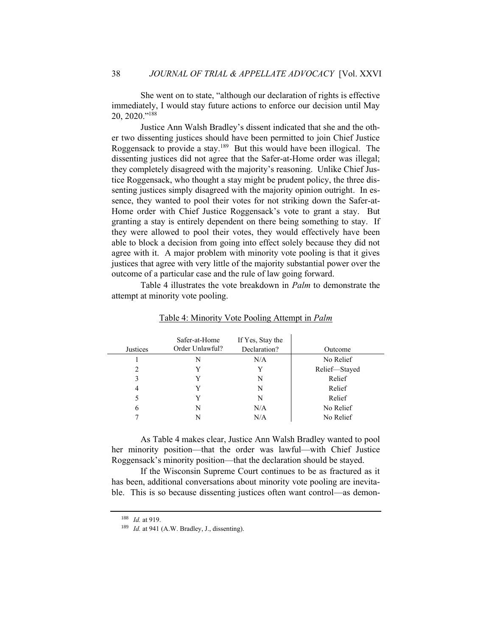She went on to state, "although our declaration of rights is effective immediately, I would stay future actions to enforce our decision until May 20, 2020." 188

Justice Ann Walsh Bradley's dissent indicated that she and the other two dissenting justices should have been permitted to join Chief Justice Roggensack to provide a stay.<sup>189</sup> But this would have been illogical. The dissenting justices did not agree that the Safer-at-Home order was illegal; they completely disagreed with the majority's reasoning. Unlike Chief Justice Roggensack, who thought a stay might be prudent policy, the three dissenting justices simply disagreed with the majority opinion outright. In essence, they wanted to pool their votes for not striking down the Safer-at-Home order with Chief Justice Roggensack's vote to grant a stay. But granting a stay is entirely dependent on there being something to stay. If they were allowed to pool their votes, they would effectively have been able to block a decision from going into effect solely because they did not agree with it. A major problem with minority vote pooling is that it gives justices that agree with very little of the majority substantial power over the outcome of a particular case and the rule of law going forward.

Table 4 illustrates the vote breakdown in *Palm* to demonstrate the attempt at minority vote pooling.

| <b>Justices</b> | Safer-at-Home<br>Order Unlawful? | If Yes, Stay the<br>Declaration? |               |
|-----------------|----------------------------------|----------------------------------|---------------|
|                 |                                  |                                  | Outcome       |
|                 | N                                | N/A                              | No Relief     |
| 2               | Y                                | Y                                | Relief-Stayed |
| 3               | Y                                | N                                | Relief        |
| 4               | Y                                | N                                | Relief        |
| 5               | Y                                | N                                | Relief        |
| 6               | N                                | N/A                              | No Relief     |
|                 | N                                | N/A                              | No Relief     |

Table 4: Minority Vote Pooling Attempt in *Palm*

As Table 4 makes clear, Justice Ann Walsh Bradley wanted to pool her minority position—that the order was lawful—with Chief Justice Roggensack's minority position—that the declaration should be stayed.

If the Wisconsin Supreme Court continues to be as fractured as it has been, additional conversations about minority vote pooling are inevitable. This is so because dissenting justices often want control—as demon-

<sup>188</sup> *Id.* at 919.

<sup>189</sup> *Id.* at 941 (A.W. Bradley, J., dissenting).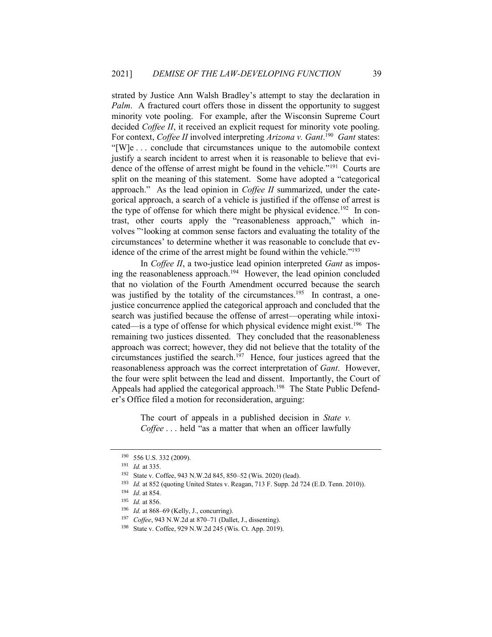strated by Justice Ann Walsh Bradley's attempt to stay the declaration in *Palm.* A fractured court offers those in dissent the opportunity to suggest minority vote pooling. For example, after the Wisconsin Supreme Court decided *Coffee II*, it received an explicit request for minority vote pooling. For context, *Coffee II* involved interpreting *Arizona v. Gant*. 190 *Gant* states: "[W]e . . . conclude that circumstances unique to the automobile context justify a search incident to arrest when it is reasonable to believe that evidence of the offense of arrest might be found in the vehicle."<sup>191</sup> Courts are split on the meaning of this statement. Some have adopted a "categorical approach." As the lead opinion in *Coffee II* summarized, under the categorical approach, a search of a vehicle is justified if the offense of arrest is the type of offense for which there might be physical evidence.<sup>192</sup> In contrast, other courts apply the "reasonableness approach," which involves "'looking at common sense factors and evaluating the totality of the circumstances' to determine whether it was reasonable to conclude that evidence of the crime of the arrest might be found within the vehicle."<sup>193</sup>

In *Coffee II*, a two-justice lead opinion interpreted *Gant* as imposing the reasonableness approach.<sup>194</sup> However, the lead opinion concluded that no violation of the Fourth Amendment occurred because the search was justified by the totality of the circumstances.<sup>195</sup> In contrast, a onejustice concurrence applied the categorical approach and concluded that the search was justified because the offense of arrest—operating while intoxicated—is a type of offense for which physical evidence might exist. 196 The remaining two justices dissented. They concluded that the reasonableness approach was correct; however, they did not believe that the totality of the circumstances justified the search.<sup>197</sup> Hence, four justices agreed that the reasonableness approach was the correct interpretation of *Gant*. However, the four were split between the lead and dissent. Importantly, the Court of Appeals had applied the categorical approach.<sup>198</sup> The State Public Defender's Office filed a motion for reconsideration, arguing:

> The court of appeals in a published decision in *State v. Coffee* . . . held "as a matter that when an officer lawfully

<sup>190</sup> 556 U.S. 332 (2009).

<sup>191</sup> *Id.* at 335.

<sup>192</sup> State v. Coffee, 943 N.W.2d 845, 850–52 (Wis. 2020) (lead).

<sup>193</sup> *Id.* at 852 (quoting United States v. Reagan, 713 F. Supp. 2d 724 (E.D. Tenn. 2010)).

<sup>194</sup> *Id*. at 854.

<sup>195</sup> *Id.* at 856.

<sup>196</sup> *Id.* at 868–69 (Kelly, J., concurring).

<sup>197</sup> *Coffee*, 943 N.W.2d at 870–71 (Dallet, J., dissenting).

<sup>198</sup> State v. Coffee, 929 N.W.2d 245 (Wis. Ct. App. 2019).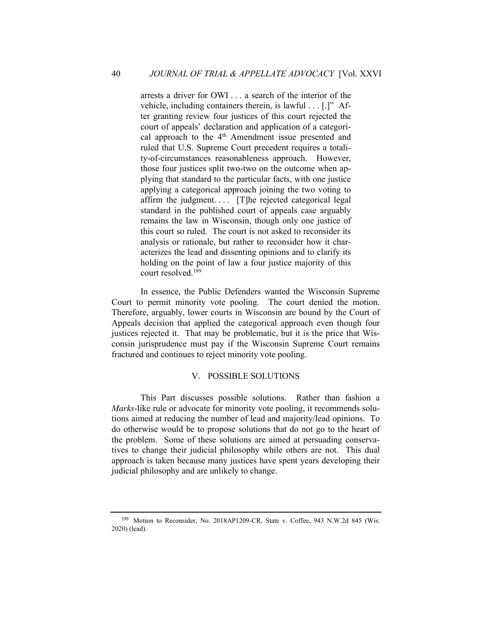arrests a driver for OWI . . . a search of the interior of the vehicle, including containers therein, is lawful . . . [.]" After granting review four justices of this court rejected the court of appeals' declaration and application of a categorical approach to the  $4<sup>th</sup>$  Amendment issue presented and ruled that U.S. Supreme Court precedent requires a totality-of-circumstances reasonableness approach. However, those four justices split two-two on the outcome when applying that standard to the particular facts, with one justice applying a categorical approach joining the two voting to affirm the judgment.... [T]he rejected categorical legal standard in the published court of appeals case arguably remains the law in Wisconsin, though only one justice of this court so ruled. The court is not asked to reconsider its analysis or rationale, but rather to reconsider how it characterizes the lead and dissenting opinions and to clarify its holding on the point of law a four justice majority of this court resolved.<sup>199</sup>

In essence, the Public Defenders wanted the Wisconsin Supreme Court to permit minority vote pooling. The court denied the motion. Therefore, arguably, lower courts in Wisconsin are bound by the Court of Appeals decision that applied the categorical approach even though four justices rejected it. That may be problematic, but it is the price that Wisconsin jurisprudence must pay if the Wisconsin Supreme Court remains fractured and continues to reject minority vote pooling.

#### V. POSSIBLE SOLUTIONS

This Part discusses possible solutions. Rather than fashion a *Marks*-like rule or advocate for minority vote pooling, it recommends solutions aimed at reducing the number of lead and majority/lead opinions. To do otherwise would be to propose solutions that do not go to the heart of the problem. Some of these solutions are aimed at persuading conservatives to change their judicial philosophy while others are not. This dual approach is taken because many justices have spent years developing their judicial philosophy and are unlikely to change.

<sup>199</sup> Motion to Reconsider, No. 2018AP1209-CR, State v. Coffee, 943 N.W.2d 845 (Wis. 2020) (lead).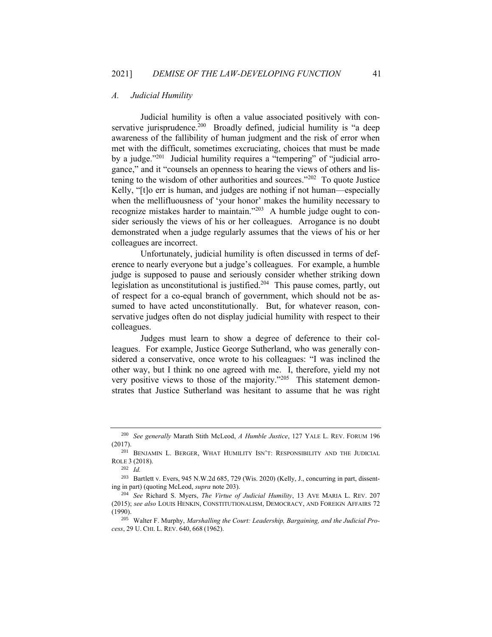#### *A. Judicial Humility*

Judicial humility is often a value associated positively with conservative jurisprudence.<sup>200</sup> Broadly defined, judicial humility is "a deep awareness of the fallibility of human judgment and the risk of error when met with the difficult, sometimes excruciating, choices that must be made by a judge."<sup>201</sup> Judicial humility requires a "tempering" of "judicial arrogance," and it "counsels an openness to hearing the views of others and listening to the wisdom of other authorities and sources." $202$  To quote Justice Kelly, "[t]o err is human, and judges are nothing if not human—especially when the mellifluousness of 'your honor' makes the humility necessary to recognize mistakes harder to maintain."<sup>203</sup> A humble judge ought to consider seriously the views of his or her colleagues. Arrogance is no doubt demonstrated when a judge regularly assumes that the views of his or her colleagues are incorrect.

Unfortunately, judicial humility is often discussed in terms of deference to nearly everyone but a judge's colleagues. For example, a humble judge is supposed to pause and seriously consider whether striking down legislation as unconstitutional is justified.<sup>204</sup> This pause comes, partly, out of respect for a co-equal branch of government, which should not be assumed to have acted unconstitutionally. But, for whatever reason, conservative judges often do not display judicial humility with respect to their colleagues.

Judges must learn to show a degree of deference to their colleagues. For example, Justice George Sutherland, who was generally considered a conservative, once wrote to his colleagues: "I was inclined the other way, but I think no one agreed with me. I, therefore, yield my not very positive views to those of the majority."<sup>205</sup> This statement demonstrates that Justice Sutherland was hesitant to assume that he was right

<sup>200</sup> *See generally* Marath Stith McLeod, *A Humble Justice*, 127 YALE L. REV. FORUM 196 (2017).

<sup>201</sup> BENJAMIN L. BERGER, WHAT HUMILITY ISN'T: RESPONSIBILITY AND THE JUDICIAL ROLE 3 (2018).

<sup>202</sup> *Id.*

<sup>203</sup> Bartlett v. Evers, 945 N.W.2d 685, 729 (Wis. 2020) (Kelly, J., concurring in part, dissenting in part) (quoting McLeod, *supra* note 203).

<sup>204</sup> *See* Richard S. Myers, *The Virtue of Judicial Humility*, 13 AVE MARIA L. REV. 207 (2015); *see also* LOUIS HENKIN, CONSTITUTIONALISM, DEMOCRACY, AND FOREIGN AFFAIRS 72 (1990).

<sup>205</sup> Walter F. Murphy, *Marshalling the Court: Leadership, Bargaining, and the Judicial Process*, 29 U. CHI. L. REV. 640, 668 (1962).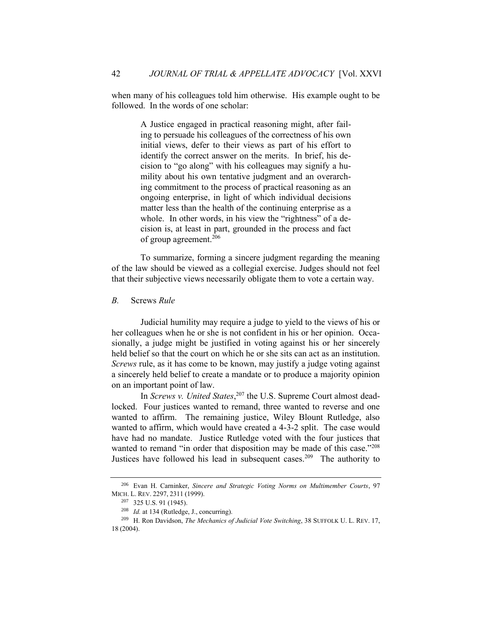when many of his colleagues told him otherwise. His example ought to be followed. In the words of one scholar:

> A Justice engaged in practical reasoning might, after failing to persuade his colleagues of the correctness of his own initial views, defer to their views as part of his effort to identify the correct answer on the merits. In brief, his decision to "go along" with his colleagues may signify a humility about his own tentative judgment and an overarching commitment to the process of practical reasoning as an ongoing enterprise, in light of which individual decisions matter less than the health of the continuing enterprise as a whole. In other words, in his view the "rightness" of a decision is, at least in part, grounded in the process and fact of group agreement.<sup>206</sup>

To summarize, forming a sincere judgment regarding the meaning of the law should be viewed as a collegial exercise. Judges should not feel that their subjective views necessarily obligate them to vote a certain way.

# *B.* Screws *Rule*

Judicial humility may require a judge to yield to the views of his or her colleagues when he or she is not confident in his or her opinion. Occasionally, a judge might be justified in voting against his or her sincerely held belief so that the court on which he or she sits can act as an institution. *Screws* rule, as it has come to be known, may justify a judge voting against a sincerely held belief to create a mandate or to produce a majority opinion on an important point of law.

In *Screws v. United States*, <sup>207</sup> the U.S. Supreme Court almost deadlocked. Four justices wanted to remand, three wanted to reverse and one wanted to affirm. The remaining justice, Wiley Blount Rutledge, also wanted to affirm, which would have created a 4-3-2 split. The case would have had no mandate. Justice Rutledge voted with the four justices that wanted to remand "in order that disposition may be made of this case."<sup>208</sup> Justices have followed his lead in subsequent cases.<sup>209</sup> The authority to

<sup>206</sup> Evan H. Carninker, *Sincere and Strategic Voting Norms on Multimember Courts*, 97 MICH. L. REV. 2297, 2311 (1999).

<sup>207</sup> 325 U.S. 91 (1945).

<sup>208</sup> *Id.* at 134 (Rutledge, J., concurring).

<sup>209</sup> H. Ron Davidson, *The Mechanics of Judicial Vote Switching*, 38 SUFFOLK U. L. REV. 17, 18 (2004).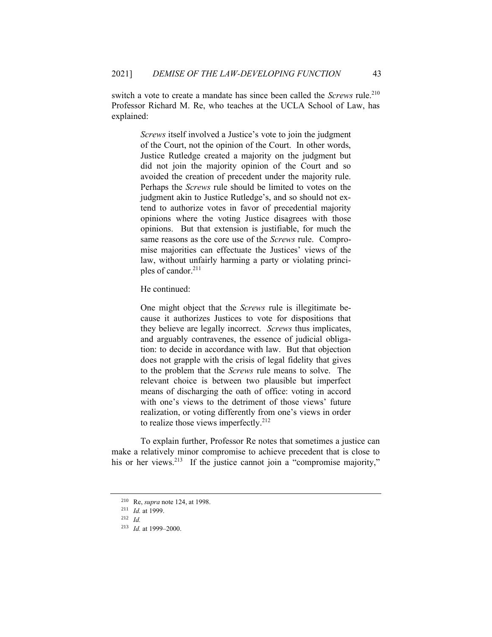switch a vote to create a mandate has since been called the *Screws* rule.<sup>210</sup> Professor Richard M. Re, who teaches at the UCLA School of Law, has explained:

> *Screws* itself involved a Justice's vote to join the judgment of the Court, not the opinion of the Court. In other words, Justice Rutledge created a majority on the judgment but did not join the majority opinion of the Court and so avoided the creation of precedent under the majority rule. Perhaps the *Screws* rule should be limited to votes on the judgment akin to Justice Rutledge's, and so should not extend to authorize votes in favor of precedential majority opinions where the voting Justice disagrees with those opinions. But that extension is justifiable, for much the same reasons as the core use of the *Screws* rule. Compromise majorities can effectuate the Justices' views of the law, without unfairly harming a party or violating principles of candor.<sup>211</sup>

He continued:

One might object that the *Screws* rule is illegitimate because it authorizes Justices to vote for dispositions that they believe are legally incorrect. *Screws* thus implicates, and arguably contravenes, the essence of judicial obligation: to decide in accordance with law. But that objection does not grapple with the crisis of legal fidelity that gives to the problem that the *Screws* rule means to solve. The relevant choice is between two plausible but imperfect means of discharging the oath of office: voting in accord with one's views to the detriment of those views' future realization, or voting differently from one's views in order to realize those views imperfectly.<sup>212</sup>

To explain further, Professor Re notes that sometimes a justice can make a relatively minor compromise to achieve precedent that is close to his or her views.<sup>213</sup> If the justice cannot join a "compromise majority,"

<sup>210</sup> Re, *supra* note 124, at 1998.

<sup>211</sup> *Id.* at 1999.

<sup>212</sup> *Id.*

<sup>213</sup> *Id.* at 1999–2000.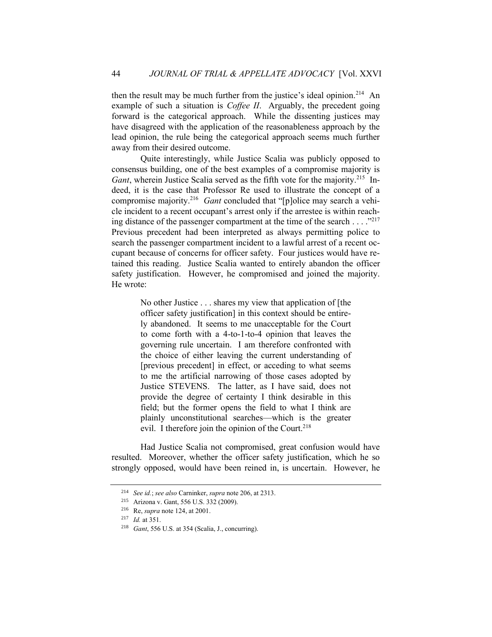then the result may be much further from the justice's ideal opinion.<sup>214</sup> An example of such a situation is *Coffee II*. Arguably, the precedent going forward is the categorical approach. While the dissenting justices may have disagreed with the application of the reasonableness approach by the lead opinion, the rule being the categorical approach seems much further away from their desired outcome.

Quite interestingly, while Justice Scalia was publicly opposed to consensus building, one of the best examples of a compromise majority is Gant, wherein Justice Scalia served as the fifth vote for the majority.<sup>215</sup> Indeed, it is the case that Professor Re used to illustrate the concept of a compromise majority.<sup>216</sup> Gant concluded that "[p]olice may search a vehicle incident to a recent occupant's arrest only if the arrestee is within reaching distance of the passenger compartment at the time of the search . . . . "217 Previous precedent had been interpreted as always permitting police to search the passenger compartment incident to a lawful arrest of a recent occupant because of concerns for officer safety. Four justices would have retained this reading. Justice Scalia wanted to entirely abandon the officer safety justification. However, he compromised and joined the majority. He wrote:

> No other Justice . . . shares my view that application of [the officer safety justification] in this context should be entirely abandoned. It seems to me unacceptable for the Court to come forth with a 4-to-1-to-4 opinion that leaves the governing rule uncertain. I am therefore confronted with the choice of either leaving the current understanding of [previous precedent] in effect, or acceding to what seems to me the artificial narrowing of those cases adopted by Justice STEVENS. The latter, as I have said, does not provide the degree of certainty I think desirable in this field; but the former opens the field to what I think are plainly unconstitutional searches—which is the greater evil. I therefore join the opinion of the Court.<sup>218</sup>

Had Justice Scalia not compromised, great confusion would have resulted. Moreover, whether the officer safety justification, which he so strongly opposed, would have been reined in, is uncertain. However, he

<sup>214</sup> *See id.*; *see also* Carninker, *supra* note 206, at 2313.

<sup>215</sup> Arizona v. Gant, 556 U.S. 332 (2009).

<sup>216</sup> Re, *supra* note 124, at 2001.

<sup>217</sup> *Id.* at 351.

<sup>218</sup> *Gant*, 556 U.S. at 354 (Scalia, J., concurring).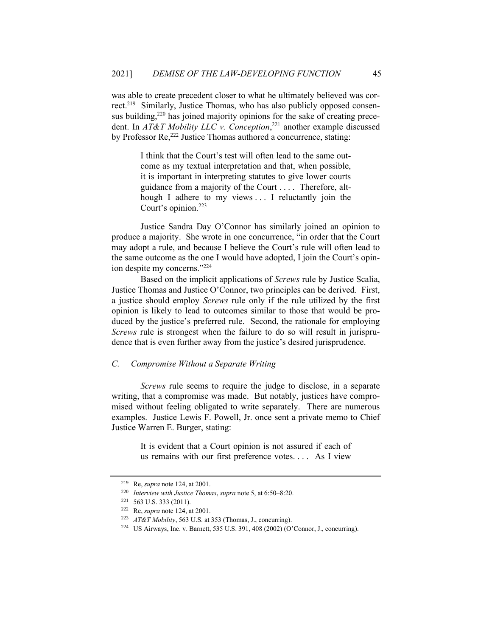was able to create precedent closer to what he ultimately believed was correct.<sup>219</sup> Similarly, Justice Thomas, who has also publicly opposed consensus building,<sup>220</sup> has joined majority opinions for the sake of creating precedent. In *AT&T Mobility LLC v. Conception*, <sup>221</sup> another example discussed by Professor Re,<sup>222</sup> Justice Thomas authored a concurrence, stating:

> I think that the Court's test will often lead to the same outcome as my textual interpretation and that, when possible, it is important in interpreting statutes to give lower courts guidance from a majority of the Court . . . . Therefore, although I adhere to my views . . . I reluctantly join the Court's opinion.<sup>223</sup>

Justice Sandra Day O'Connor has similarly joined an opinion to produce a majority. She wrote in one concurrence, "in order that the Court may adopt a rule, and because I believe the Court's rule will often lead to the same outcome as the one I would have adopted, I join the Court's opinion despite my concerns."<sup>224</sup>

Based on the implicit applications of *Screws* rule by Justice Scalia, Justice Thomas and Justice O'Connor, two principles can be derived. First, a justice should employ *Screws* rule only if the rule utilized by the first opinion is likely to lead to outcomes similar to those that would be produced by the justice's preferred rule. Second, the rationale for employing *Screws* rule is strongest when the failure to do so will result in jurisprudence that is even further away from the justice's desired jurisprudence.

## *C. Compromise Without a Separate Writing*

*Screws* rule seems to require the judge to disclose, in a separate writing, that a compromise was made. But notably, justices have compromised without feeling obligated to write separately. There are numerous examples. Justice Lewis F. Powell, Jr. once sent a private memo to Chief Justice Warren E. Burger, stating:

> It is evident that a Court opinion is not assured if each of us remains with our first preference votes. . . . As I view

<sup>219</sup> Re, *supra* note 124, at 2001.

<sup>220</sup> *Interview with Justice Thomas*, *supra* note 5, at 6:50–8:20.

 $221$  563 U.S. 333 (2011).

<sup>222</sup> Re, *supra* note 124, at 2001.

<sup>223</sup> *AT&T Mobility*, 563 U.S. at 353 (Thomas, J., concurring).

<sup>224</sup> US Airways, Inc. v. Barnett, 535 U.S. 391, 408 (2002) (O'Connor, J., concurring).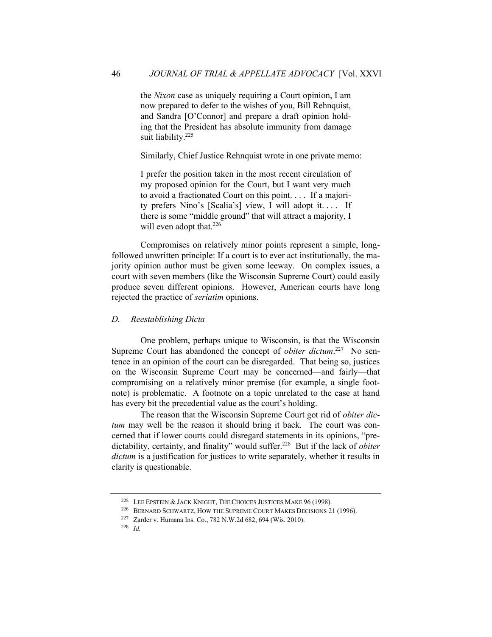the *Nixon* case as uniquely requiring a Court opinion, I am now prepared to defer to the wishes of you, Bill Rehnquist, and Sandra [O'Connor] and prepare a draft opinion holding that the President has absolute immunity from damage suit liability.<sup>225</sup>

Similarly, Chief Justice Rehnquist wrote in one private memo:

I prefer the position taken in the most recent circulation of my proposed opinion for the Court, but I want very much to avoid a fractionated Court on this point. . . . If a majority prefers Nino's [Scalia's] view, I will adopt it. . . . If there is some "middle ground" that will attract a majority, I will even adopt that.<sup>226</sup>

Compromises on relatively minor points represent a simple, longfollowed unwritten principle: If a court is to ever act institutionally, the majority opinion author must be given some leeway. On complex issues, a court with seven members (like the Wisconsin Supreme Court) could easily produce seven different opinions. However, American courts have long rejected the practice of *seriatim* opinions.

# *D. Reestablishing Dicta*

One problem, perhaps unique to Wisconsin, is that the Wisconsin Supreme Court has abandoned the concept of *obiter dictum*.<sup>227</sup> No sentence in an opinion of the court can be disregarded. That being so, justices on the Wisconsin Supreme Court may be concerned—and fairly—that compromising on a relatively minor premise (for example, a single footnote) is problematic. A footnote on a topic unrelated to the case at hand has every bit the precedential value as the court's holding.

The reason that the Wisconsin Supreme Court got rid of *obiter dictum* may well be the reason it should bring it back. The court was concerned that if lower courts could disregard statements in its opinions, "predictability, certainty, and finality" would suffer.<sup>228</sup> But if the lack of *obiter dictum* is a justification for justices to write separately, whether it results in clarity is questionable.

<sup>&</sup>lt;sup>225</sup> LEE EPSTEIN  $&$  JACK KNIGHT, THE CHOICES JUSTICES MAKE 96 (1998).

<sup>&</sup>lt;sup>226</sup> BERNARD SCHWARTZ, HOW THE SUPREME COURT MAKES DECISIONS 21 (1996).

<sup>227</sup> Zarder v. Humana Ins. Co., 782 N.W.2d 682, 694 (Wis. 2010).

<sup>228</sup> *Id.*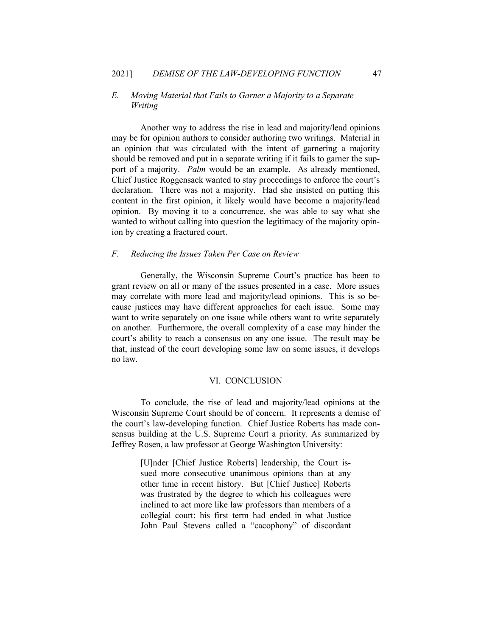# *E. Moving Material that Fails to Garner a Majority to a Separate Writing*

Another way to address the rise in lead and majority/lead opinions may be for opinion authors to consider authoring two writings. Material in an opinion that was circulated with the intent of garnering a majority should be removed and put in a separate writing if it fails to garner the support of a majority. *Palm* would be an example. As already mentioned, Chief Justice Roggensack wanted to stay proceedings to enforce the court's declaration. There was not a majority. Had she insisted on putting this content in the first opinion, it likely would have become a majority/lead opinion. By moving it to a concurrence, she was able to say what she wanted to without calling into question the legitimacy of the majority opinion by creating a fractured court.

#### *F. Reducing the Issues Taken Per Case on Review*

Generally, the Wisconsin Supreme Court's practice has been to grant review on all or many of the issues presented in a case. More issues may correlate with more lead and majority/lead opinions. This is so because justices may have different approaches for each issue. Some may want to write separately on one issue while others want to write separately on another. Furthermore, the overall complexity of a case may hinder the court's ability to reach a consensus on any one issue. The result may be that, instead of the court developing some law on some issues, it develops no law.

#### VI. CONCLUSION

To conclude, the rise of lead and majority/lead opinions at the Wisconsin Supreme Court should be of concern. It represents a demise of the court's law-developing function. Chief Justice Roberts has made consensus building at the U.S. Supreme Court a priority. As summarized by Jeffrey Rosen, a law professor at George Washington University:

> [U]nder [Chief Justice Roberts] leadership, the Court issued more consecutive unanimous opinions than at any other time in recent history. But [Chief Justice] Roberts was frustrated by the degree to which his colleagues were inclined to act more like law professors than members of a collegial court: his first term had ended in what Justice John Paul Stevens called a "cacophony" of discordant